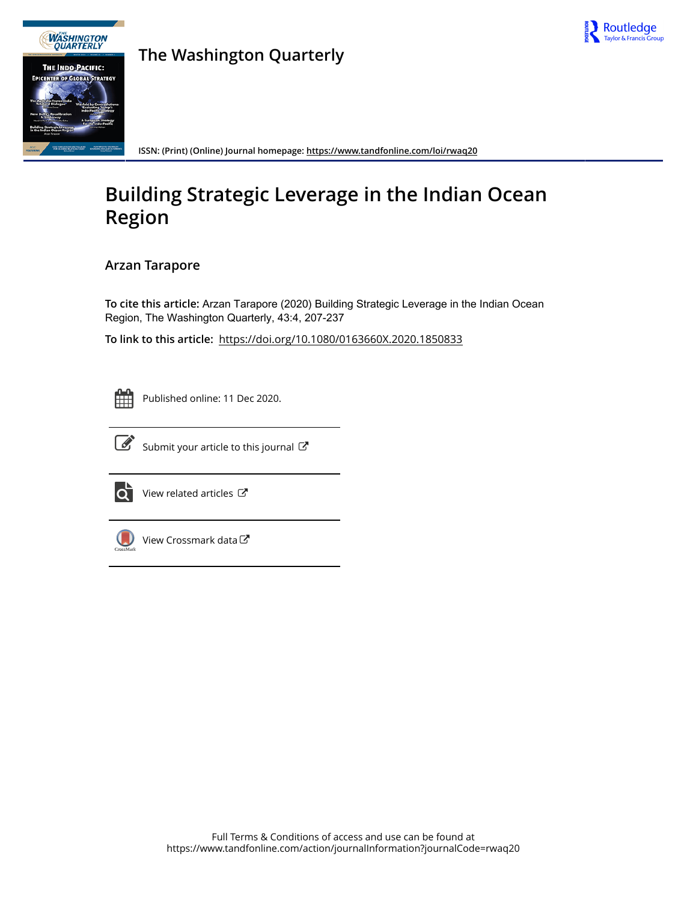



**The Washington Quarterly**

**ISSN: (Print) (Online) Journal homepage:<https://www.tandfonline.com/loi/rwaq20>**

## **Building Strategic Leverage in the Indian Ocean Region**

**Arzan Tarapore**

**To cite this article:** Arzan Tarapore (2020) Building Strategic Leverage in the Indian Ocean Region, The Washington Quarterly, 43:4, 207-237

**To link to this article:** <https://doi.org/10.1080/0163660X.2020.1850833>



Published online: 11 Dec 2020.



 $\overrightarrow{S}$  [Submit your article to this journal](https://www.tandfonline.com/action/authorSubmission?journalCode=rwaq20&show=instructions)  $\overrightarrow{S}$ 



 $\overrightarrow{O}$  [View related articles](https://www.tandfonline.com/doi/mlt/10.1080/0163660X.2020.1850833)  $\overrightarrow{C}$ 



[View Crossmark data](http://crossmark.crossref.org/dialog/?doi=10.1080/0163660X.2020.1850833&domain=pdf&date_stamp=2020-12-11) C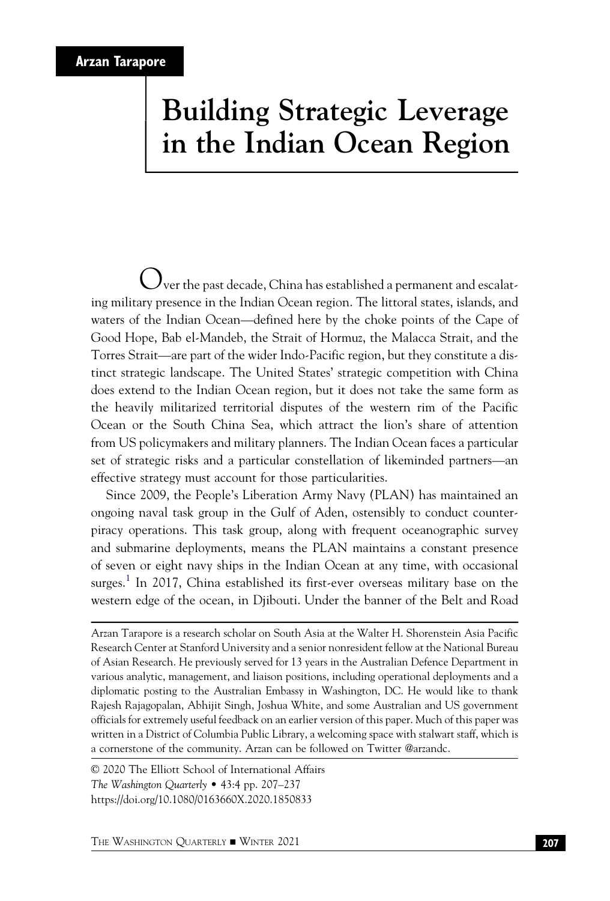# Building Strategic Leverage in the Indian Ocean Region

 $\bm{O}$ ver the past decade, China has established a permanent and escalating military presence in the Indian Ocean region. The littoral states, islands, and waters of the Indian Ocean—defined here by the choke points of the Cape of Good Hope, Bab el-Mandeb, the Strait of Hormuz, the Malacca Strait, and the Torres Strait—are part of the wider Indo-Pacific region, but they constitute a distinct strategic landscape. The United States' strategic competition with China does extend to the Indian Ocean region, but it does not take the same form as the heavily militarized territorial disputes of the western rim of the Pacific Ocean or the South China Sea, which attract the lion's share of attention from US policymakers and military planners. The Indian Ocean faces a particular set of strategic risks and a particular constellation of likeminded partners—an effective strategy must account for those particularities.

Since 2009, the People's Liberation Army Navy (PLAN) has maintained an ongoing naval task group in the Gulf of Aden, ostensibly to conduct counterpiracy operations. This task group, along with frequent oceanographic survey and submarine deployments, means the PLAN maintains a constant presence of seven or eight navy ships in the Indian Ocean at any time, with occasional surges.<sup>1</sup> In 2017, China established its first-ever overseas military base on the western edge of the ocean, in Djibouti. Under the banner of the Belt and Road

© 2020 The Elliott School of International Affairs The Washington Quarterly • 43:4 pp. 207–237 https://doi.org/10.1080/0163660X.2020.1850833

Arzan Tarapore is a research scholar on South Asia at the Walter H. Shorenstein Asia Pacific Research Center at Stanford University and a senior nonresident fellow at the National Bureau of Asian Research. He previously served for 13 years in the Australian Defence Department in various analytic, management, and liaison positions, including operational deployments and a diplomatic posting to the Australian Embassy in Washington, DC. He would like to thank Rajesh Rajagopalan, Abhijit Singh, Joshua White, and some Australian and US government officials for extremely useful feedback on an earlier version of this paper. Much of this paper was written in a District of Columbia Public Library, a welcoming space with stalwart staff, which is a cornerstone of the community. Arzan can be followed on Twitter @arzandc.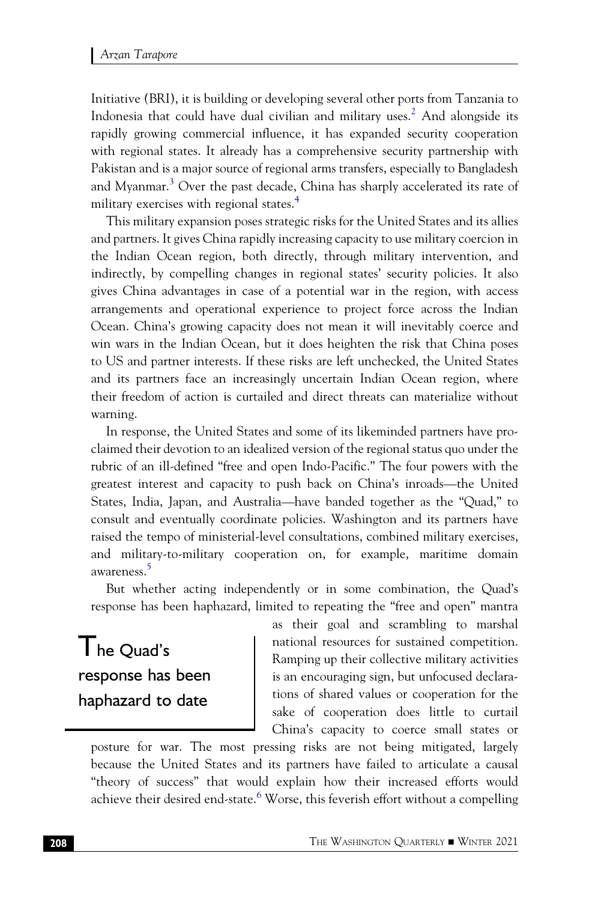Initiative (BRI), it is building or developing several other ports from Tanzania to Indonesia that could have dual civilian and military uses.<sup>[2](#page-24-1)</sup> And alongside its rapidly growing commercial influence, it has expanded security cooperation with regional states. It already has a comprehensive security partnership with Pakistan and is a major source of regional arms transfers, especially to Bangladesh and Myanmar.<sup>[3](#page-24-2)</sup> Over the past decade, China has sharply accelerated its rate of military exercises with regional states.<sup>[4](#page-24-3)</sup>

This military expansion poses strategic risks for the United States and its allies and partners. It gives China rapidly increasing capacity to use military coercion in the Indian Ocean region, both directly, through military intervention, and indirectly, by compelling changes in regional states' security policies. It also gives China advantages in case of a potential war in the region, with access arrangements and operational experience to project force across the Indian Ocean. China's growing capacity does not mean it will inevitably coerce and win wars in the Indian Ocean, but it does heighten the risk that China poses to US and partner interests. If these risks are left unchecked, the United States and its partners face an increasingly uncertain Indian Ocean region, where their freedom of action is curtailed and direct threats can materialize without warning.

In response, the United States and some of its likeminded partners have proclaimed their devotion to an idealized version of the regional status quo under the rubric of an ill-defined "free and open Indo-Pacific." The four powers with the greatest interest and capacity to push back on China's inroads—the United States, India, Japan, and Australia—have banded together as the "Quad," to consult and eventually coordinate policies. Washington and its partners have raised the tempo of ministerial-level consultations, combined military exercises, and military-to-military cooperation on, for example, maritime domain awareness. [5](#page-25-0)

But whether acting independently or in some combination, the Quad's response has been haphazard, limited to repeating the "free and open" mantra

The Quad'<sup>s</sup> response has been haphazard to date

as their goal and scrambling to marshal national resources for sustained competition. Ramping up their collective military activities is an encouraging sign, but unfocused declarations of shared values or cooperation for the sake of cooperation does little to curtail China's capacity to coerce small states or

posture for war. The most pressing risks are not being mitigated, largely because the United States and its partners have failed to articulate a causal "theory of success" that would explain how their increased efforts would achieve their desired end-state. $6$  Worse, this feverish effort without a compelling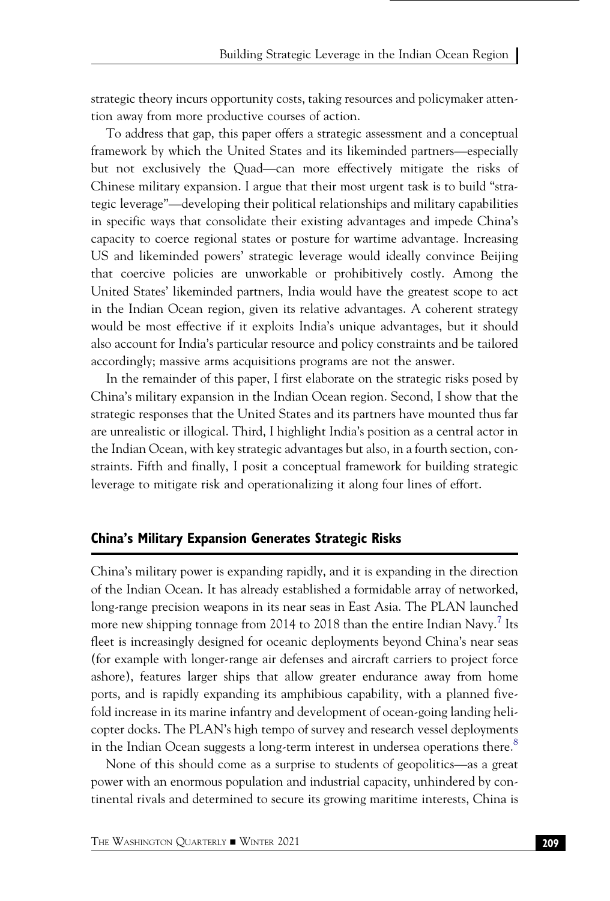strategic theory incurs opportunity costs, taking resources and policymaker attention away from more productive courses of action.

To address that gap, this paper offers a strategic assessment and a conceptual framework by which the United States and its likeminded partners—especially but not exclusively the Quad—can more effectively mitigate the risks of Chinese military expansion. I argue that their most urgent task is to build "strategic leverage"—developing their political relationships and military capabilities in specific ways that consolidate their existing advantages and impede China's capacity to coerce regional states or posture for wartime advantage. Increasing US and likeminded powers' strategic leverage would ideally convince Beijing that coercive policies are unworkable or prohibitively costly. Among the United States' likeminded partners, India would have the greatest scope to act in the Indian Ocean region, given its relative advantages. A coherent strategy would be most effective if it exploits India's unique advantages, but it should also account for India's particular resource and policy constraints and be tailored accordingly; massive arms acquisitions programs are not the answer.

In the remainder of this paper, I first elaborate on the strategic risks posed by China's military expansion in the Indian Ocean region. Second, I show that the strategic responses that the United States and its partners have mounted thus far are unrealistic or illogical. Third, I highlight India's position as a central actor in the Indian Ocean, with key strategic advantages but also, in a fourth section, constraints. Fifth and finally, I posit a conceptual framework for building strategic leverage to mitigate risk and operationalizing it along four lines of effort.

## China's Military Expansion Generates Strategic Risks

China's military power is expanding rapidly, and it is expanding in the direction of the Indian Ocean. It has already established a formidable array of networked, long-range precision weapons in its near seas in East Asia. The PLAN launched more new shipping tonnage from 2014 to 2018 than the entire Indian Navy.<sup>7</sup> Its fleet is increasingly designed for oceanic deployments beyond China's near seas (for example with longer-range air defenses and aircraft carriers to project force ashore), features larger ships that allow greater endurance away from home ports, and is rapidly expanding its amphibious capability, with a planned fivefold increase in its marine infantry and development of ocean-going landing helicopter docks. The PLAN's high tempo of survey and research vessel deployments in the Indian Ocean suggests a long-term interest in undersea operations there. $8$ 

None of this should come as a surprise to students of geopolitics—as a great power with an enormous population and industrial capacity, unhindered by continental rivals and determined to secure its growing maritime interests, China is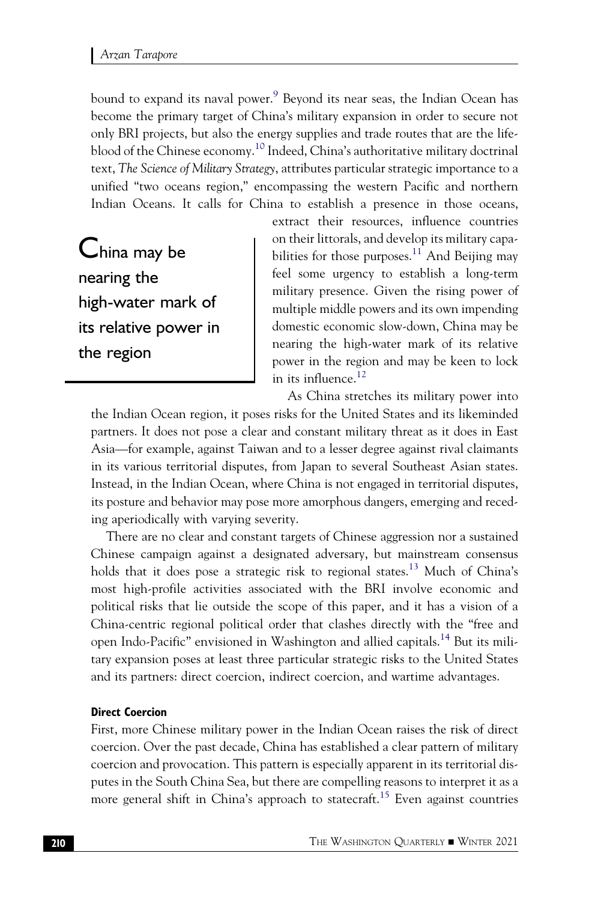bound to expand its naval power.<sup>[9](#page-25-4)</sup> Beyond its near seas, the Indian Ocean has become the primary target of China's military expansion in order to secure not only BRI projects, but also the energy supplies and trade routes that are the life-blood of the Chinese economy.<sup>[10](#page-25-5)</sup> Indeed, China's authoritative military doctrinal text, The Science of Military Strategy, attributes particular strategic importance to a unified "two oceans region," encompassing the western Pacific and northern Indian Oceans. It calls for China to establish a presence in those oceans,

China may be nearing the high-water mark of its relative power in the region

extract their resources, influence countries on their littorals, and develop its military capabilities for those purposes.<sup>11</sup> And Beijing may feel some urgency to establish a long-term military presence. Given the rising power of multiple middle powers and its own impending domestic economic slow-down, China may be nearing the high-water mark of its relative power in the region and may be keen to lock in its influence. $12$ 

As China stretches its military power into

the Indian Ocean region, it poses risks for the United States and its likeminded partners. It does not pose a clear and constant military threat as it does in East Asia—for example, against Taiwan and to a lesser degree against rival claimants in its various territorial disputes, from Japan to several Southeast Asian states. Instead, in the Indian Ocean, where China is not engaged in territorial disputes, its posture and behavior may pose more amorphous dangers, emerging and receding aperiodically with varying severity.

There are no clear and constant targets of Chinese aggression nor a sustained Chinese campaign against a designated adversary, but mainstream consensus holds that it does pose a strategic risk to regional states.<sup>[13](#page-25-8)</sup> Much of China's most high-profile activities associated with the BRI involve economic and political risks that lie outside the scope of this paper, and it has a vision of a China-centric regional political order that clashes directly with the "free and open Indo-Pacific" envisioned in Washington and allied capitals.[14](#page-25-9) But its military expansion poses at least three particular strategic risks to the United States and its partners: direct coercion, indirect coercion, and wartime advantages.

#### Direct Coercion

First, more Chinese military power in the Indian Ocean raises the risk of direct coercion. Over the past decade, China has established a clear pattern of military coercion and provocation. This pattern is especially apparent in its territorial disputes in the South China Sea, but there are compelling reasons to interpret it as a more general shift in China's approach to statecraft.<sup>[15](#page-26-0)</sup> Even against countries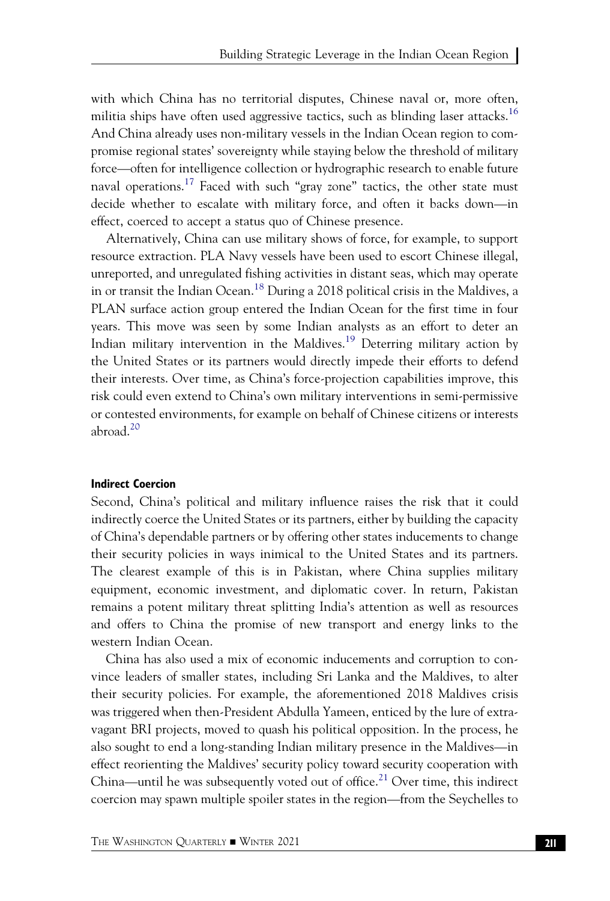with which China has no territorial disputes, Chinese naval or, more often, militia ships have often used aggressive tactics, such as blinding laser attacks.<sup>[16](#page-26-1)</sup> And China already uses non-military vessels in the Indian Ocean region to compromise regional states' sovereignty while staying below the threshold of military force—often for intelligence collection or hydrographic research to enable future naval operations.<sup>[17](#page-26-2)</sup> Faced with such "gray zone" tactics, the other state must decide whether to escalate with military force, and often it backs down—in effect, coerced to accept a status quo of Chinese presence.

Alternatively, China can use military shows of force, for example, to support resource extraction. PLA Navy vessels have been used to escort Chinese illegal, unreported, and unregulated fishing activities in distant seas, which may operate in or transit the Indian Ocean.<sup>[18](#page-26-3)</sup> During a 2018 political crisis in the Maldives, a PLAN surface action group entered the Indian Ocean for the first time in four years. This move was seen by some Indian analysts as an effort to deter an Indian military intervention in the Maldives.<sup>[19](#page-26-4)</sup> Deterring military action by the United States or its partners would directly impede their efforts to defend their interests. Over time, as China's force-projection capabilities improve, this risk could even extend to China's own military interventions in semi-permissive or contested environments, for example on behalf of Chinese citizens or interests abroad.[20](#page-26-5)

#### Indirect Coercion

Second, China's political and military influence raises the risk that it could indirectly coerce the United States or its partners, either by building the capacity of China's dependable partners or by offering other states inducements to change their security policies in ways inimical to the United States and its partners. The clearest example of this is in Pakistan, where China supplies military equipment, economic investment, and diplomatic cover. In return, Pakistan remains a potent military threat splitting India's attention as well as resources and offers to China the promise of new transport and energy links to the western Indian Ocean.

China has also used a mix of economic inducements and corruption to convince leaders of smaller states, including Sri Lanka and the Maldives, to alter their security policies. For example, the aforementioned 2018 Maldives crisis was triggered when then-President Abdulla Yameen, enticed by the lure of extravagant BRI projects, moved to quash his political opposition. In the process, he also sought to end a long-standing Indian military presence in the Maldives—in effect reorienting the Maldives' security policy toward security cooperation with China—until he was subsequently voted out of office.<sup>[21](#page-26-6)</sup> Over time, this indirect coercion may spawn multiple spoiler states in the region—from the Seychelles to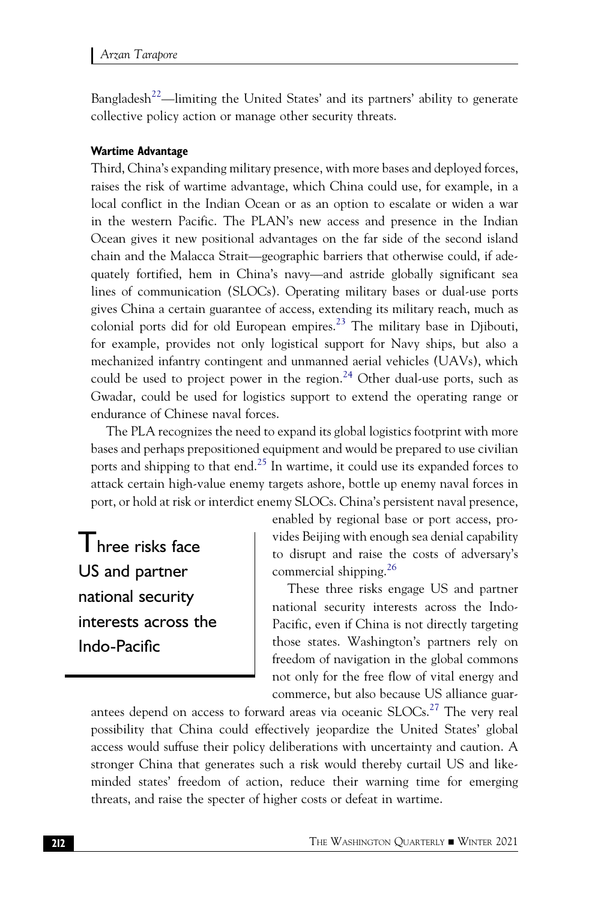Bangladesh<sup>[22](#page-26-7)</sup>—limiting the United States' and its partners' ability to generate collective policy action or manage other security threats.

#### Wartime Advantage

Third, China's expanding military presence, with more bases and deployed forces, raises the risk of wartime advantage, which China could use, for example, in a local conflict in the Indian Ocean or as an option to escalate or widen a war in the western Pacific. The PLAN's new access and presence in the Indian Ocean gives it new positional advantages on the far side of the second island chain and the Malacca Strait—geographic barriers that otherwise could, if adequately fortified, hem in China's navy—and astride globally significant sea lines of communication (SLOCs). Operating military bases or dual-use ports gives China a certain guarantee of access, extending its military reach, much as colonial ports did for old European empires.<sup>[23](#page-26-8)</sup> The military base in Diibouti, for example, provides not only logistical support for Navy ships, but also a mechanized infantry contingent and unmanned aerial vehicles (UAVs), which could be used to project power in the region.<sup>24</sup> Other dual-use ports, such as Gwadar, could be used for logistics support to extend the operating range or endurance of Chinese naval forces.

The PLA recognizes the need to expand its global logistics footprint with more bases and perhaps prepositioned equipment and would be prepared to use civilian ports and shipping to that end.<sup>[25](#page-26-10)</sup> In wartime, it could use its expanded forces to attack certain high-value enemy targets ashore, bottle up enemy naval forces in port, or hold at risk or interdict enemy SLOCs. China's persistent naval presence,

Three risks face US and partner national security interests across the Indo-Pacific

enabled by regional base or port access, provides Beijing with enough sea denial capability to disrupt and raise the costs of adversary's commercial shipping.[26](#page-26-11)

These three risks engage US and partner national security interests across the Indo-Pacific, even if China is not directly targeting those states. Washington's partners rely on freedom of navigation in the global commons not only for the free flow of vital energy and commerce, but also because US alliance guar-

antees depend on access to forward areas via oceanic SLOCs.<sup>[27](#page-26-12)</sup> The very real possibility that China could effectively jeopardize the United States' global access would suffuse their policy deliberations with uncertainty and caution. A stronger China that generates such a risk would thereby curtail US and likeminded states' freedom of action, reduce their warning time for emerging threats, and raise the specter of higher costs or defeat in wartime.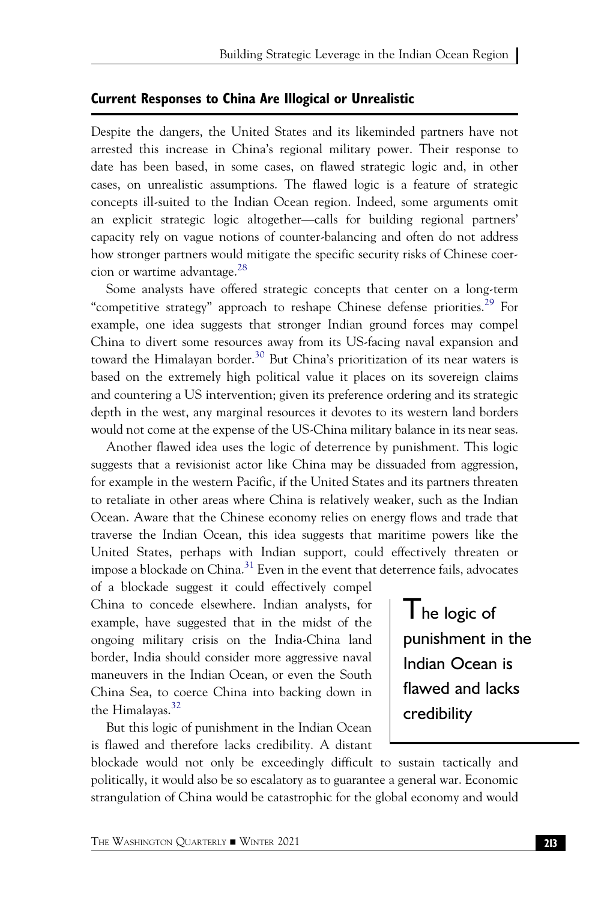## Current Responses to China Are Illogical or Unrealistic

Despite the dangers, the United States and its likeminded partners have not arrested this increase in China's regional military power. Their response to date has been based, in some cases, on flawed strategic logic and, in other cases, on unrealistic assumptions. The flawed logic is a feature of strategic concepts ill-suited to the Indian Ocean region. Indeed, some arguments omit an explicit strategic logic altogether—calls for building regional partners' capacity rely on vague notions of counter-balancing and often do not address how stronger partners would mitigate the specific security risks of Chinese coercion or wartime advantage. $^{28}$  $^{28}$  $^{28}$ 

Some analysts have offered strategic concepts that center on a long-term "competitive strategy" approach to reshape Chinese defense priorities.<sup>[29](#page-27-1)</sup> For example, one idea suggests that stronger Indian ground forces may compel China to divert some resources away from its US-facing naval expansion and toward the Himalayan border.<sup>[30](#page-27-2)</sup> But China's prioritization of its near waters is based on the extremely high political value it places on its sovereign claims and countering a US intervention; given its preference ordering and its strategic depth in the west, any marginal resources it devotes to its western land borders would not come at the expense of the US-China military balance in its near seas.

Another flawed idea uses the logic of deterrence by punishment. This logic suggests that a revisionist actor like China may be dissuaded from aggression, for example in the western Pacific, if the United States and its partners threaten to retaliate in other areas where China is relatively weaker, such as the Indian Ocean. Aware that the Chinese economy relies on energy flows and trade that traverse the Indian Ocean, this idea suggests that maritime powers like the United States, perhaps with Indian support, could effectively threaten or impose a blockade on China.<sup>[31](#page-27-3)</sup> Even in the event that deterrence fails, advocates

of a blockade suggest it could effectively compel China to concede elsewhere. Indian analysts, for example, have suggested that in the midst of the ongoing military crisis on the India-China land border, India should consider more aggressive naval maneuvers in the Indian Ocean, or even the South China Sea, to coerce China into backing down in the Himalayas.<sup>[32](#page-27-4)</sup>

But this logic of punishment in the Indian Ocean is flawed and therefore lacks credibility. A distant

 $\mathsf I$  he logic of punishment in the Indian Ocean is flawed and lacks credibility

blockade would not only be exceedingly difficult to sustain tactically and politically, it would also be so escalatory as to guarantee a general war. Economic strangulation of China would be catastrophic for the global economy and would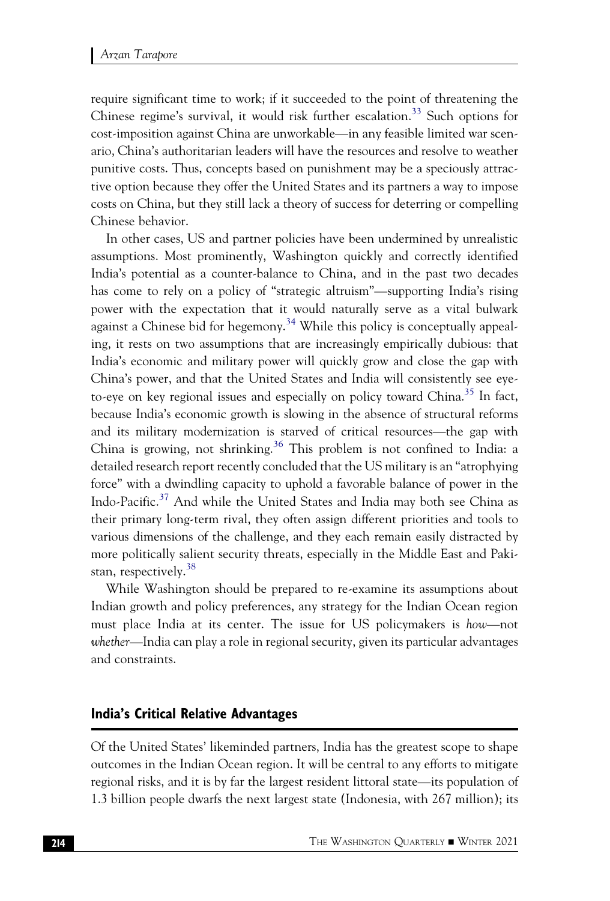require significant time to work; if it succeeded to the point of threatening the Chinese regime's survival, it would risk further escalation.<sup>[33](#page-27-5)</sup> Such options for cost-imposition against China are unworkable—in any feasible limited war scenario, China's authoritarian leaders will have the resources and resolve to weather punitive costs. Thus, concepts based on punishment may be a speciously attractive option because they offer the United States and its partners a way to impose costs on China, but they still lack a theory of success for deterring or compelling Chinese behavior.

In other cases, US and partner policies have been undermined by unrealistic assumptions. Most prominently, Washington quickly and correctly identified India's potential as a counter-balance to China, and in the past two decades has come to rely on a policy of "strategic altruism"—supporting India's rising power with the expectation that it would naturally serve as a vital bulwark against a Chinese bid for hegemony.<sup>[34](#page-27-6)</sup> While this policy is conceptually appealing, it rests on two assumptions that are increasingly empirically dubious: that India's economic and military power will quickly grow and close the gap with China's power, and that the United States and India will consistently see eyeto-eye on key regional issues and especially on policy toward  $China<sup>35</sup>$  In fact, because India's economic growth is slowing in the absence of structural reforms and its military modernization is starved of critical resources—the gap with China is growing, not shrinking.<sup>[36](#page-27-8)</sup> This problem is not confined to India: a detailed research report recently concluded that the US military is an "atrophying force" with a dwindling capacity to uphold a favorable balance of power in the Indo-Pacific.[37](#page-27-9) And while the United States and India may both see China as their primary long-term rival, they often assign different priorities and tools to various dimensions of the challenge, and they each remain easily distracted by more politically salient security threats, especially in the Middle East and Paki-stan, respectively.<sup>[38](#page-27-10)</sup>

While Washington should be prepared to re-examine its assumptions about Indian growth and policy preferences, any strategy for the Indian Ocean region must place India at its center. The issue for US policymakers is how—not whether—India can play a role in regional security, given its particular advantages and constraints.

#### India's Critical Relative Advantages

Of the United States' likeminded partners, India has the greatest scope to shape outcomes in the Indian Ocean region. It will be central to any efforts to mitigate regional risks, and it is by far the largest resident littoral state—its population of 1.3 billion people dwarfs the next largest state (Indonesia, with 267 million); its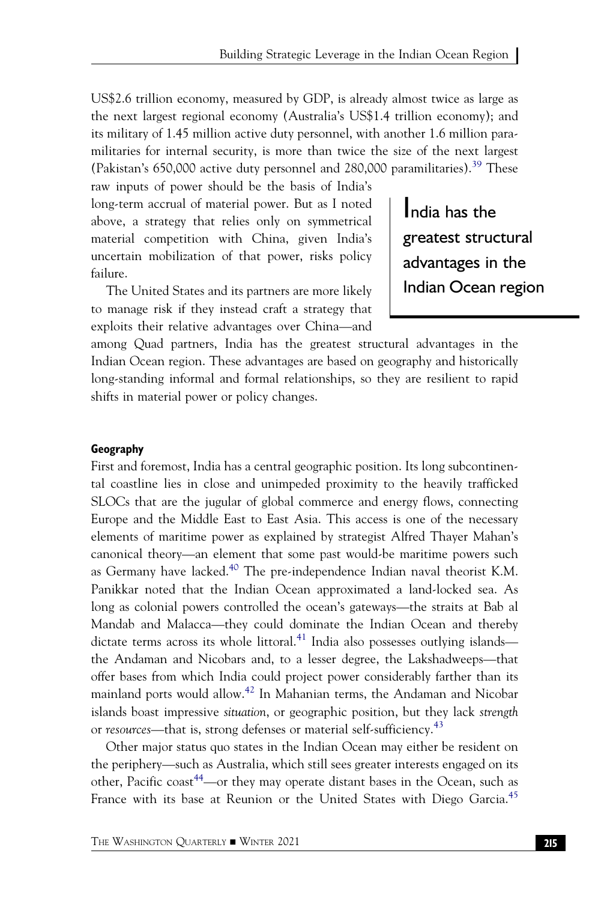US\$2.6 trillion economy, measured by GDP, is already almost twice as large as the next largest regional economy (Australia's US\$1.4 trillion economy); and its military of 1.45 million active duty personnel, with another 1.6 million paramilitaries for internal security, is more than twice the size of the next largest (Pakistan's 650,000 active duty personnel and 280,000 paramilitaries).<sup>[39](#page-27-11)</sup> These

raw inputs of power should be the basis of India's long-term accrual of material power. But as I noted above, a strategy that relies only on symmetrical material competition with China, given India's uncertain mobilization of that power, risks policy failure.

The United States and its partners are more likely to manage risk if they instead craft a strategy that exploits their relative advantages over China—and

India has the greatest structural advantages in the Indian Ocean region

among Quad partners, India has the greatest structural advantages in the Indian Ocean region. These advantages are based on geography and historically long-standing informal and formal relationships, so they are resilient to rapid shifts in material power or policy changes.

#### Geography

First and foremost, India has a central geographic position. Its long subcontinental coastline lies in close and unimpeded proximity to the heavily trafficked SLOCs that are the jugular of global commerce and energy flows, connecting Europe and the Middle East to East Asia. This access is one of the necessary elements of maritime power as explained by strategist Alfred Thayer Mahan's canonical theory—an element that some past would-be maritime powers such as Germany have lacked.<sup>40</sup> The pre-independence Indian naval theorist K.M. Panikkar noted that the Indian Ocean approximated a land-locked sea. As long as colonial powers controlled the ocean's gateways—the straits at Bab al Mandab and Malacca—they could dominate the Indian Ocean and thereby dictate terms across its whole littoral.<sup>[41](#page-28-1)</sup> India also possesses outlying islands the Andaman and Nicobars and, to a lesser degree, the Lakshadweeps—that offer bases from which India could project power considerably farther than its mainland ports would allow.[42](#page-28-2) In Mahanian terms, the Andaman and Nicobar islands boast impressive situation, or geographic position, but they lack strength or resources—that is, strong defenses or material self-sufficiency.<sup>[43](#page-28-3)</sup>

Other major status quo states in the Indian Ocean may either be resident on the periphery—such as Australia, which still sees greater interests engaged on its other, Pacific coast<sup>[44](#page-28-4)</sup>—or they may operate distant bases in the Ocean, such as France with its base at Reunion or the United States with Diego Garcia.<sup>[45](#page-28-5)</sup>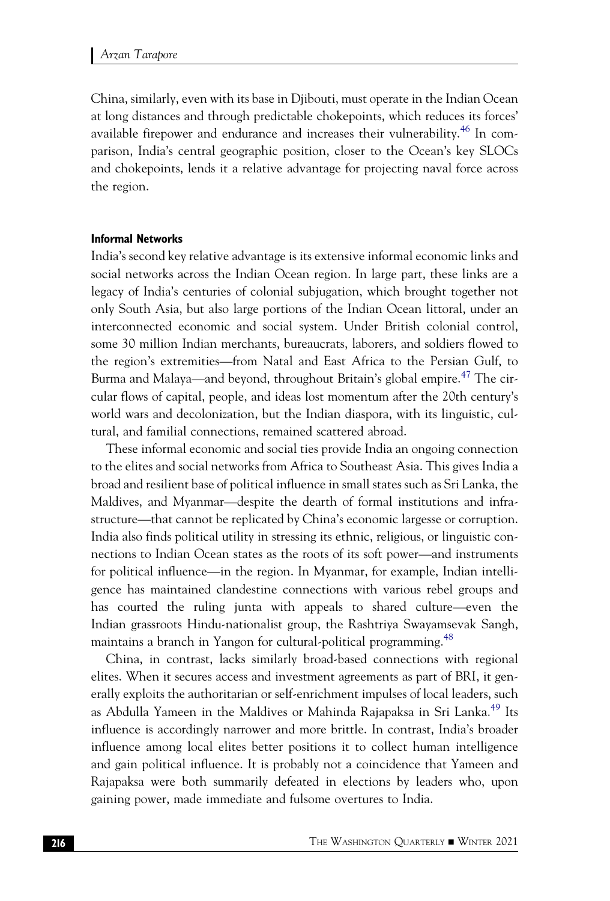China, similarly, even with its base in Djibouti, must operate in the Indian Ocean at long distances and through predictable chokepoints, which reduces its forces' available firepower and endurance and increases their vulnerability.<sup>[46](#page-28-6)</sup> In comparison, India's central geographic position, closer to the Ocean's key SLOCs and chokepoints, lends it a relative advantage for projecting naval force across the region.

#### Informal Networks

India's second key relative advantage is its extensive informal economic links and social networks across the Indian Ocean region. In large part, these links are a legacy of India's centuries of colonial subjugation, which brought together not only South Asia, but also large portions of the Indian Ocean littoral, under an interconnected economic and social system. Under British colonial control, some 30 million Indian merchants, bureaucrats, laborers, and soldiers flowed to the region's extremities—from Natal and East Africa to the Persian Gulf, to Burma and Malaya—and beyond, throughout Britain's global empire.<sup>[47](#page-28-7)</sup> The circular flows of capital, people, and ideas lost momentum after the 20th century's world wars and decolonization, but the Indian diaspora, with its linguistic, cultural, and familial connections, remained scattered abroad.

These informal economic and social ties provide India an ongoing connection to the elites and social networks from Africa to Southeast Asia. This gives India a broad and resilient base of political influence in small states such as Sri Lanka, the Maldives, and Myanmar—despite the dearth of formal institutions and infrastructure—that cannot be replicated by China's economic largesse or corruption. India also finds political utility in stressing its ethnic, religious, or linguistic connections to Indian Ocean states as the roots of its soft power—and instruments for political influence—in the region. In Myanmar, for example, Indian intelligence has maintained clandestine connections with various rebel groups and has courted the ruling junta with appeals to shared culture—even the Indian grassroots Hindu-nationalist group, the Rashtriya Swayamsevak Sangh, maintains a branch in Yangon for cultural-political programming.<sup>[48](#page-28-8)</sup>

China, in contrast, lacks similarly broad-based connections with regional elites. When it secures access and investment agreements as part of BRI, it generally exploits the authoritarian or self-enrichment impulses of local leaders, such as Abdulla Yameen in the Maldives or Mahinda Rajapaksa in Sri Lanka.<sup>49</sup> Its influence is accordingly narrower and more brittle. In contrast, India's broader influence among local elites better positions it to collect human intelligence and gain political influence. It is probably not a coincidence that Yameen and Rajapaksa were both summarily defeated in elections by leaders who, upon gaining power, made immediate and fulsome overtures to India.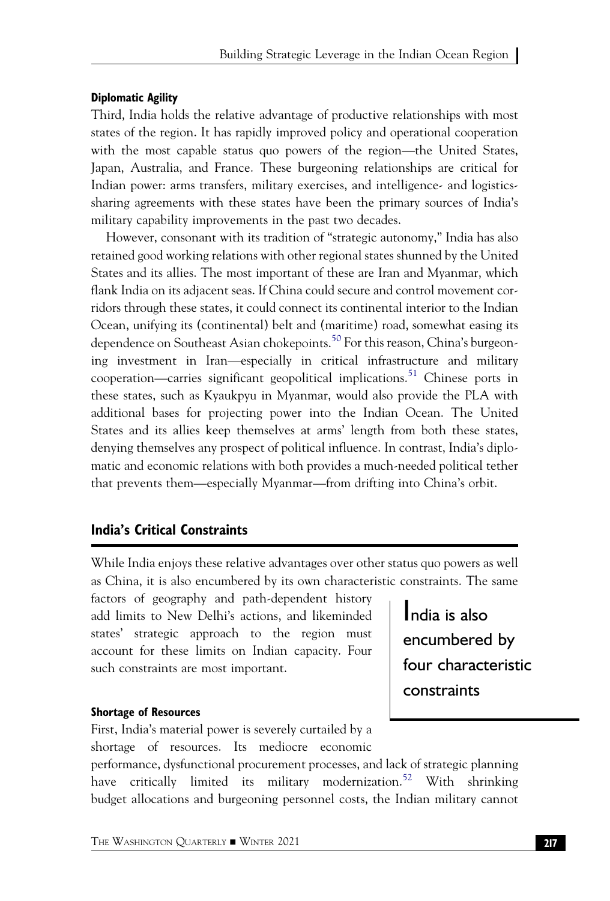#### Diplomatic Agility

Third, India holds the relative advantage of productive relationships with most states of the region. It has rapidly improved policy and operational cooperation with the most capable status quo powers of the region—the United States, Japan, Australia, and France. These burgeoning relationships are critical for Indian power: arms transfers, military exercises, and intelligence- and logisticssharing agreements with these states have been the primary sources of India's military capability improvements in the past two decades.

However, consonant with its tradition of "strategic autonomy," India has also retained good working relations with other regional states shunned by the United States and its allies. The most important of these are Iran and Myanmar, which flank India on its adjacent seas. If China could secure and control movement corridors through these states, it could connect its continental interior to the Indian Ocean, unifying its (continental) belt and (maritime) road, somewhat easing its dependence on Southeast Asian chokepoints.<sup>[50](#page-28-10)</sup> For this reason, China's burgeoning investment in Iran—especially in critical infrastructure and military cooperation—carries significant geopolitical implications.<sup>[51](#page-28-11)</sup> Chinese ports in these states, such as Kyaukpyu in Myanmar, would also provide the PLA with additional bases for projecting power into the Indian Ocean. The United States and its allies keep themselves at arms' length from both these states, denying themselves any prospect of political influence. In contrast, India's diplomatic and economic relations with both provides a much-needed political tether that prevents them—especially Myanmar—from drifting into China's orbit.

## India's Critical Constraints

While India enjoys these relative advantages over other status quo powers as well as China, it is also encumbered by its own characteristic constraints. The same

factors of geography and path-dependent history add limits to New Delhi's actions, and likeminded states' strategic approach to the region must account for these limits on Indian capacity. Four such constraints are most important.

#### Shortage of Resources

First, India's material power is severely curtailed by a shortage of resources. Its mediocre economic

performance, dysfunctional procurement processes, and lack of strategic planning have critically limited its military modernization.<sup>[52](#page-28-12)</sup> With shrinking budget allocations and burgeoning personnel costs, the Indian military cannot

India is also encumbered by four characteristic constraints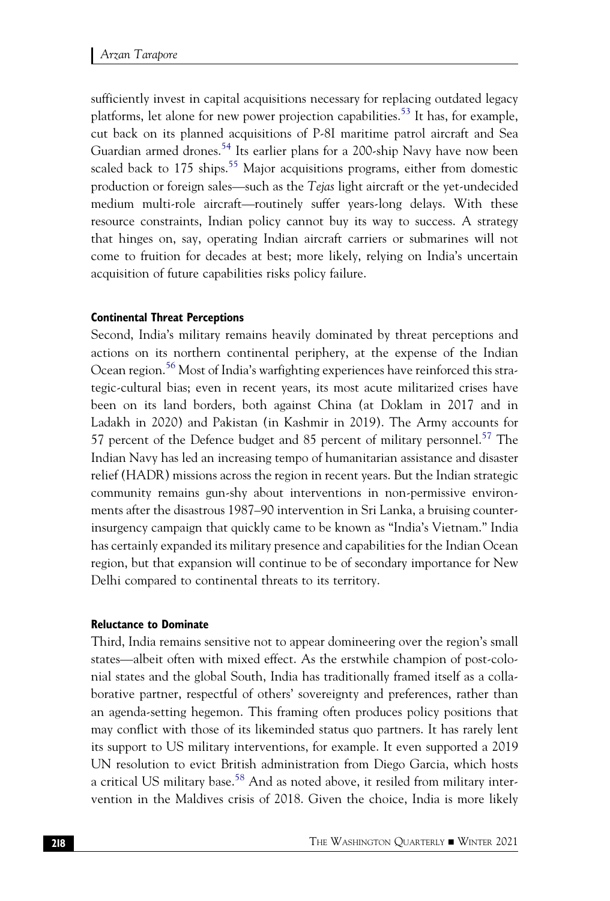sufficiently invest in capital acquisitions necessary for replacing outdated legacy platforms, let alone for new power projection capabilities.<sup>[53](#page-28-13)</sup> It has, for example, cut back on its planned acquisitions of P-8I maritime patrol aircraft and Sea Guardian armed drones.<sup>[54](#page-28-14)</sup> Its earlier plans for a 200-ship Navy have now been scaled back to 175 ships.<sup>[55](#page-29-0)</sup> Major acquisitions programs, either from domestic production or foreign sales—such as the Tejas light aircraft or the yet-undecided medium multi-role aircraft—routinely suffer years-long delays. With these resource constraints, Indian policy cannot buy its way to success. A strategy that hinges on, say, operating Indian aircraft carriers or submarines will not come to fruition for decades at best; more likely, relying on India's uncertain acquisition of future capabilities risks policy failure.

#### Continental Threat Perceptions

Second, India's military remains heavily dominated by threat perceptions and actions on its northern continental periphery, at the expense of the Indian Ocean region.<sup>[56](#page-29-1)</sup> Most of India's warfighting experiences have reinforced this strategic-cultural bias; even in recent years, its most acute militarized crises have been on its land borders, both against China (at Doklam in 2017 and in Ladakh in 2020) and Pakistan (in Kashmir in 2019). The Army accounts for [57](#page-29-2) percent of the Defence budget and 85 percent of military personnel.<sup>57</sup> The Indian Navy has led an increasing tempo of humanitarian assistance and disaster relief (HADR) missions across the region in recent years. But the Indian strategic community remains gun-shy about interventions in non-permissive environments after the disastrous 1987–90 intervention in Sri Lanka, a bruising counterinsurgency campaign that quickly came to be known as "India's Vietnam." India has certainly expanded its military presence and capabilities for the Indian Ocean region, but that expansion will continue to be of secondary importance for New Delhi compared to continental threats to its territory.

#### Reluctance to Dominate

Third, India remains sensitive not to appear domineering over the region's small states—albeit often with mixed effect. As the erstwhile champion of post-colonial states and the global South, India has traditionally framed itself as a collaborative partner, respectful of others' sovereignty and preferences, rather than an agenda-setting hegemon. This framing often produces policy positions that may conflict with those of its likeminded status quo partners. It has rarely lent its support to US military interventions, for example. It even supported a 2019 UN resolution to evict British administration from Diego Garcia, which hosts a critical US military base.<sup>[58](#page-29-3)</sup> And as noted above, it resiled from military intervention in the Maldives crisis of 2018. Given the choice, India is more likely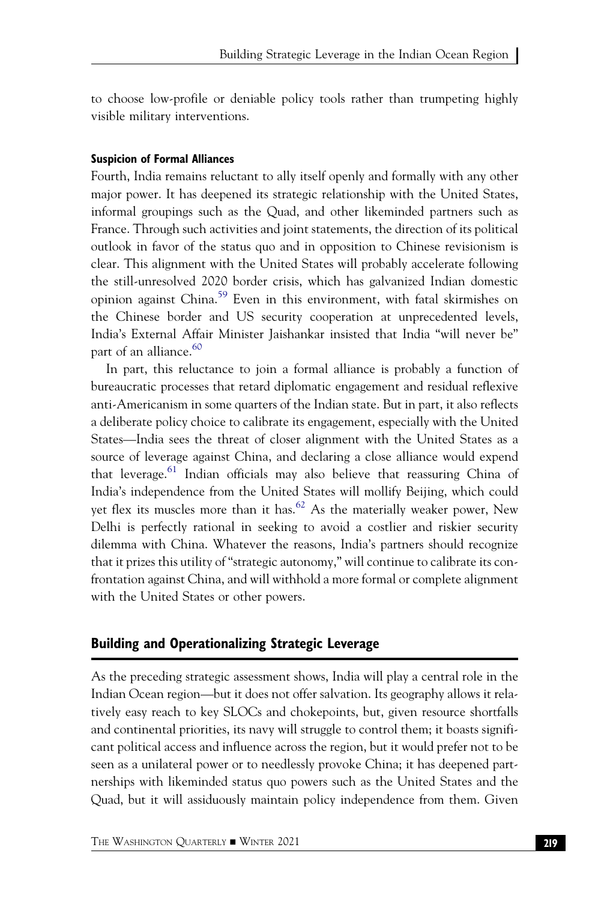to choose low-profile or deniable policy tools rather than trumpeting highly visible military interventions.

#### Suspicion of Formal Alliances

Fourth, India remains reluctant to ally itself openly and formally with any other major power. It has deepened its strategic relationship with the United States, informal groupings such as the Quad, and other likeminded partners such as France. Through such activities and joint statements, the direction of its political outlook in favor of the status quo and in opposition to Chinese revisionism is clear. This alignment with the United States will probably accelerate following the still-unresolved 2020 border crisis, which has galvanized Indian domestic opinion against China.<sup>[59](#page-29-4)</sup> Even in this environment, with fatal skirmishes on the Chinese border and US security cooperation at unprecedented levels, India's External Affair Minister Jaishankar insisted that India "will never be" part of an alliance. $60$ 

In part, this reluctance to join a formal alliance is probably a function of bureaucratic processes that retard diplomatic engagement and residual reflexive anti-Americanism in some quarters of the Indian state. But in part, it also reflects a deliberate policy choice to calibrate its engagement, especially with the United States—India sees the threat of closer alignment with the United States as a source of leverage against China, and declaring a close alliance would expend that leverage.<sup>[61](#page-29-6)</sup> Indian officials may also believe that reassuring China of India's independence from the United States will mollify Beijing, which could yet flex its muscles more than it has.  $62$  As the materially weaker power, New Delhi is perfectly rational in seeking to avoid a costlier and riskier security dilemma with China. Whatever the reasons, India's partners should recognize that it prizes this utility of "strategic autonomy," will continue to calibrate its confrontation against China, and will withhold a more formal or complete alignment with the United States or other powers.

### Building and Operationalizing Strategic Leverage

As the preceding strategic assessment shows, India will play a central role in the Indian Ocean region—but it does not offer salvation. Its geography allows it relatively easy reach to key SLOCs and chokepoints, but, given resource shortfalls and continental priorities, its navy will struggle to control them; it boasts significant political access and influence across the region, but it would prefer not to be seen as a unilateral power or to needlessly provoke China; it has deepened partnerships with likeminded status quo powers such as the United States and the Quad, but it will assiduously maintain policy independence from them. Given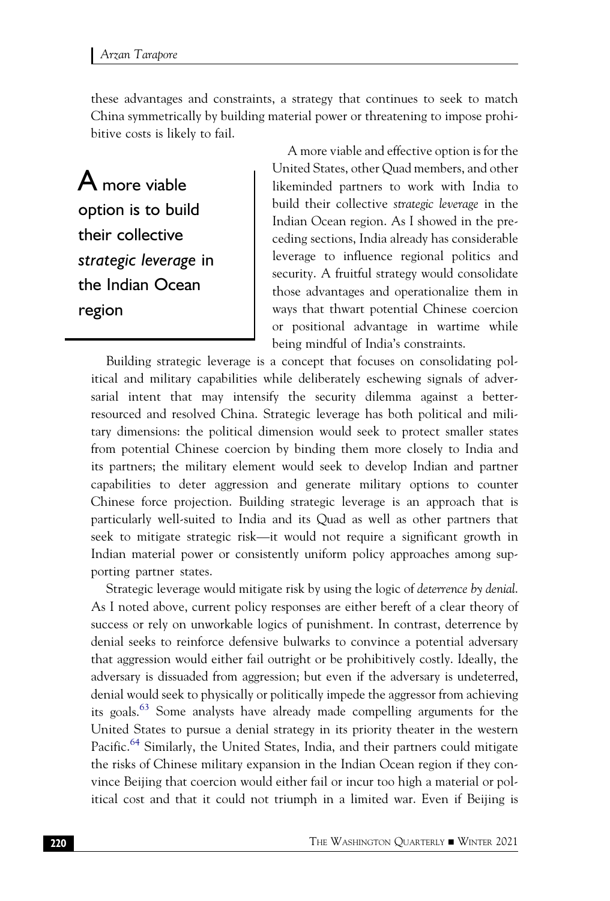these advantages and constraints, a strategy that continues to seek to match China symmetrically by building material power or threatening to impose prohibitive costs is likely to fail.

A more viable option is to build their collective strategic leverage in the Indian Ocean region

A more viable and effective option is for the United States, other Quad members, and other likeminded partners to work with India to build their collective strategic leverage in the Indian Ocean region. As I showed in the preceding sections, India already has considerable leverage to influence regional politics and security. A fruitful strategy would consolidate those advantages and operationalize them in ways that thwart potential Chinese coercion or positional advantage in wartime while being mindful of India's constraints.

Building strategic leverage is a concept that focuses on consolidating political and military capabilities while deliberately eschewing signals of adversarial intent that may intensify the security dilemma against a betterresourced and resolved China. Strategic leverage has both political and military dimensions: the political dimension would seek to protect smaller states from potential Chinese coercion by binding them more closely to India and its partners; the military element would seek to develop Indian and partner capabilities to deter aggression and generate military options to counter Chinese force projection. Building strategic leverage is an approach that is particularly well-suited to India and its Quad as well as other partners that seek to mitigate strategic risk—it would not require a significant growth in Indian material power or consistently uniform policy approaches among supporting partner states.

Strategic leverage would mitigate risk by using the logic of deterrence by denial. As I noted above, current policy responses are either bereft of a clear theory of success or rely on unworkable logics of punishment. In contrast, deterrence by denial seeks to reinforce defensive bulwarks to convince a potential adversary that aggression would either fail outright or be prohibitively costly. Ideally, the adversary is dissuaded from aggression; but even if the adversary is undeterred, denial would seek to physically or politically impede the aggressor from achieving its goals.<sup>[63](#page-29-8)</sup> Some analysts have already made compelling arguments for the United States to pursue a denial strategy in its priority theater in the western Pacific.<sup>[64](#page-29-9)</sup> Similarly, the United States, India, and their partners could mitigate the risks of Chinese military expansion in the Indian Ocean region if they convince Beijing that coercion would either fail or incur too high a material or political cost and that it could not triumph in a limited war. Even if Beijing is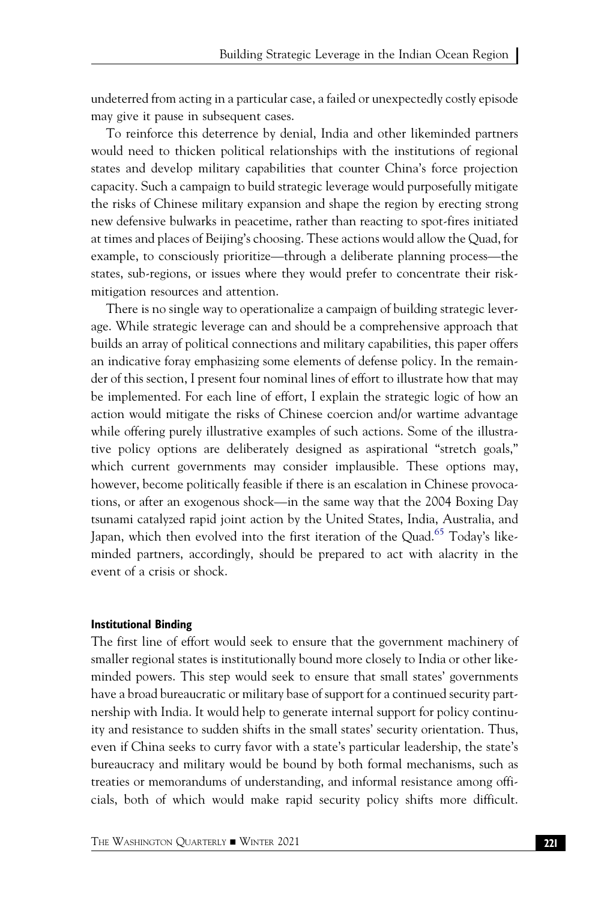undeterred from acting in a particular case, a failed or unexpectedly costly episode may give it pause in subsequent cases.

To reinforce this deterrence by denial, India and other likeminded partners would need to thicken political relationships with the institutions of regional states and develop military capabilities that counter China's force projection capacity. Such a campaign to build strategic leverage would purposefully mitigate the risks of Chinese military expansion and shape the region by erecting strong new defensive bulwarks in peacetime, rather than reacting to spot-fires initiated at times and places of Beijing's choosing. These actions would allow the Quad, for example, to consciously prioritize—through a deliberate planning process—the states, sub-regions, or issues where they would prefer to concentrate their riskmitigation resources and attention.

There is no single way to operationalize a campaign of building strategic leverage. While strategic leverage can and should be a comprehensive approach that builds an array of political connections and military capabilities, this paper offers an indicative foray emphasizing some elements of defense policy. In the remainder of this section, I present four nominal lines of effort to illustrate how that may be implemented. For each line of effort, I explain the strategic logic of how an action would mitigate the risks of Chinese coercion and/or wartime advantage while offering purely illustrative examples of such actions. Some of the illustrative policy options are deliberately designed as aspirational "stretch goals," which current governments may consider implausible. These options may, however, become politically feasible if there is an escalation in Chinese provocations, or after an exogenous shock—in the same way that the 2004 Boxing Day tsunami catalyzed rapid joint action by the United States, India, Australia, and Japan, which then evolved into the first iteration of the Quad.<sup>[65](#page-29-10)</sup> Today's likeminded partners, accordingly, should be prepared to act with alacrity in the event of a crisis or shock.

#### Institutional Binding

The first line of effort would seek to ensure that the government machinery of smaller regional states is institutionally bound more closely to India or other likeminded powers. This step would seek to ensure that small states' governments have a broad bureaucratic or military base of support for a continued security partnership with India. It would help to generate internal support for policy continuity and resistance to sudden shifts in the small states' security orientation. Thus, even if China seeks to curry favor with a state's particular leadership, the state's bureaucracy and military would be bound by both formal mechanisms, such as treaties or memorandums of understanding, and informal resistance among officials, both of which would make rapid security policy shifts more difficult.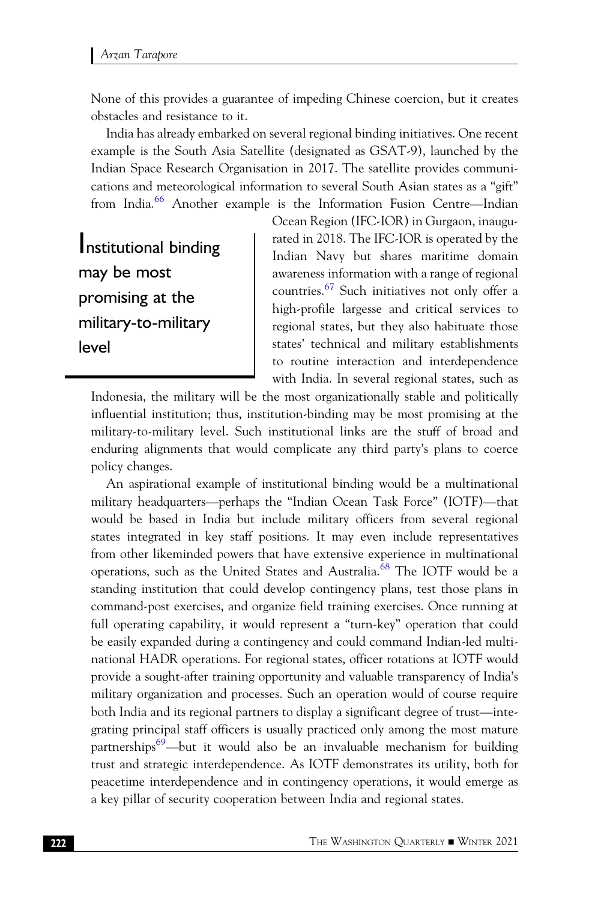None of this provides a guarantee of impeding Chinese coercion, but it creates obstacles and resistance to it.

India has already embarked on several regional binding initiatives. One recent example is the South Asia Satellite (designated as GSAT-9), launched by the Indian Space Research Organisation in 2017. The satellite provides communications and meteorological information to several South Asian states as a "gift" from India.<sup>[66](#page-29-11)</sup> Another example is the Information Fusion Centre—Indian

Institutional binding may be most promising at the military-to-military level

Ocean Region (IFC-IOR) in Gurgaon, inaugurated in 2018. The IFC-IOR is operated by the Indian Navy but shares maritime domain awareness information with a range of regional countries.[67](#page-29-12) Such initiatives not only offer a high-profile largesse and critical services to regional states, but they also habituate those states' technical and military establishments to routine interaction and interdependence with India. In several regional states, such as

Indonesia, the military will be the most organizationally stable and politically influential institution; thus, institution-binding may be most promising at the military-to-military level. Such institutional links are the stuff of broad and enduring alignments that would complicate any third party's plans to coerce policy changes.

An aspirational example of institutional binding would be a multinational military headquarters—perhaps the "Indian Ocean Task Force" (IOTF)—that would be based in India but include military officers from several regional states integrated in key staff positions. It may even include representatives from other likeminded powers that have extensive experience in multinational operations, such as the United States and Australia.[68](#page-29-13) The IOTF would be a standing institution that could develop contingency plans, test those plans in command-post exercises, and organize field training exercises. Once running at full operating capability, it would represent a "turn-key" operation that could be easily expanded during a contingency and could command Indian-led multinational HADR operations. For regional states, officer rotations at IOTF would provide a sought-after training opportunity and valuable transparency of India's military organization and processes. Such an operation would of course require both India and its regional partners to display a significant degree of trust—integrating principal staff officers is usually practiced only among the most mature partnerships<sup>[69](#page-29-14)</sup>—but it would also be an invaluable mechanism for building trust and strategic interdependence. As IOTF demonstrates its utility, both for peacetime interdependence and in contingency operations, it would emerge as a key pillar of security cooperation between India and regional states.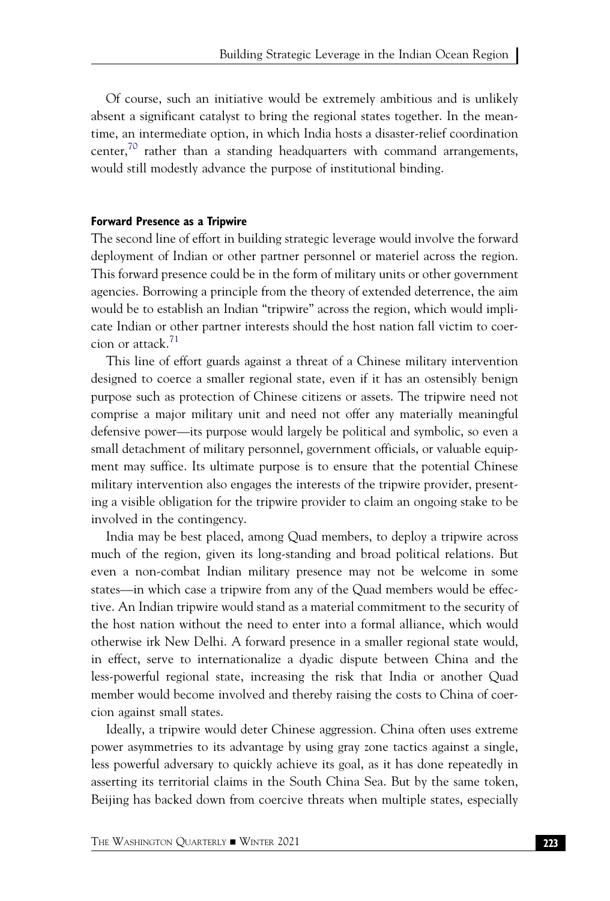Of course, such an initiative would be extremely ambitious and is unlikely absent a significant catalyst to bring the regional states together. In the meantime, an intermediate option, in which India hosts a disaster-relief coordination center, $70$  rather than a standing headquarters with command arrangements, would still modestly advance the purpose of institutional binding.

#### Forward Presence as a Tripwire

The second line of effort in building strategic leverage would involve the forward deployment of Indian or other partner personnel or materiel across the region. This forward presence could be in the form of military units or other government agencies. Borrowing a principle from the theory of extended deterrence, the aim would be to establish an Indian "tripwire" across the region, which would implicate Indian or other partner interests should the host nation fall victim to coer-cion or attack.<sup>[71](#page-30-1)</sup>

This line of effort guards against a threat of a Chinese military intervention designed to coerce a smaller regional state, even if it has an ostensibly benign purpose such as protection of Chinese citizens or assets. The tripwire need not comprise a major military unit and need not offer any materially meaningful defensive power—its purpose would largely be political and symbolic, so even a small detachment of military personnel, government officials, or valuable equipment may suffice. Its ultimate purpose is to ensure that the potential Chinese military intervention also engages the interests of the tripwire provider, presenting a visible obligation for the tripwire provider to claim an ongoing stake to be involved in the contingency.

India may be best placed, among Quad members, to deploy a tripwire across much of the region, given its long-standing and broad political relations. But even a non-combat Indian military presence may not be welcome in some states—in which case a tripwire from any of the Quad members would be effective. An Indian tripwire would stand as a material commitment to the security of the host nation without the need to enter into a formal alliance, which would otherwise irk New Delhi. A forward presence in a smaller regional state would, in effect, serve to internationalize a dyadic dispute between China and the less-powerful regional state, increasing the risk that India or another Quad member would become involved and thereby raising the costs to China of coercion against small states.

Ideally, a tripwire would deter Chinese aggression. China often uses extreme power asymmetries to its advantage by using gray zone tactics against a single, less powerful adversary to quickly achieve its goal, as it has done repeatedly in asserting its territorial claims in the South China Sea. But by the same token, Beijing has backed down from coercive threats when multiple states, especially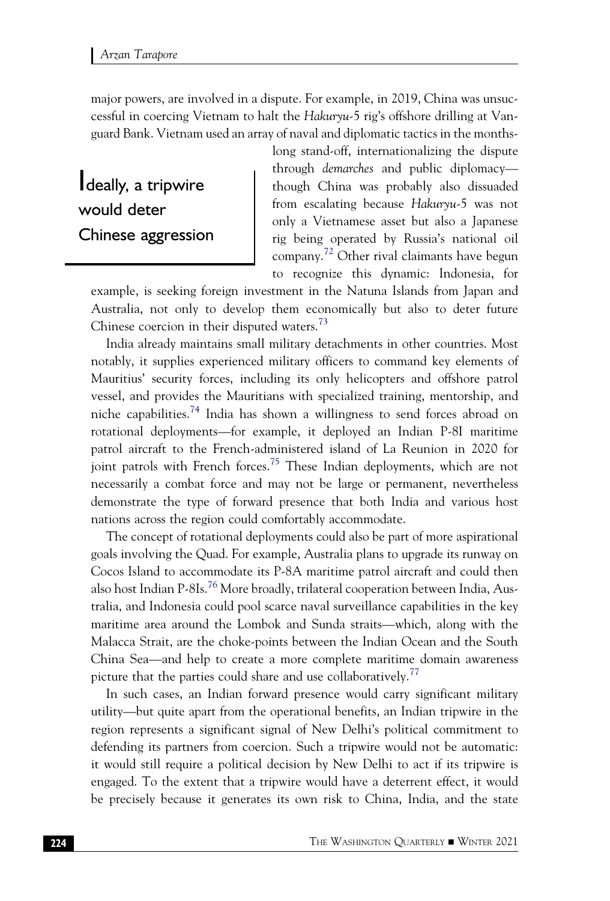major powers, are involved in a dispute. For example, in 2019, China was unsuccessful in coercing Vietnam to halt the Hakuryu-5 rig's offshore drilling at Vanguard Bank. Vietnam used an array of naval and diplomatic tactics in the months-

Ideally, a tripwire would deter Chinese aggression long stand-off, internationalizing the dispute through demarches and public diplomacy though China was probably also dissuaded from escalating because Hakuryu-5 was not only a Vietnamese asset but also a Japanese rig being operated by Russia's national oil company.[72](#page-30-2) Other rival claimants have begun to recognize this dynamic: Indonesia, for

example, is seeking foreign investment in the Natuna Islands from Japan and Australia, not only to develop them economically but also to deter future Chinese coercion in their disputed waters.<sup>[73](#page-30-3)</sup>

India already maintains small military detachments in other countries. Most notably, it supplies experienced military officers to command key elements of Mauritius' security forces, including its only helicopters and offshore patrol vessel, and provides the Mauritians with specialized training, mentorship, and niche capabilities.[74](#page-30-4) India has shown a willingness to send forces abroad on rotational deployments—for example, it deployed an Indian P-8I maritime patrol aircraft to the French-administered island of La Reunion in 2020 for joint patrols with French forces.<sup>[75](#page-30-5)</sup> These Indian deployments, which are not necessarily a combat force and may not be large or permanent, nevertheless demonstrate the type of forward presence that both India and various host nations across the region could comfortably accommodate.

The concept of rotational deployments could also be part of more aspirational goals involving the Quad. For example, Australia plans to upgrade its runway on Cocos Island to accommodate its P-8A maritime patrol aircraft and could then also host Indian P-8Is.<sup>[76](#page-30-6)</sup> More broadly, trilateral cooperation between India, Australia, and Indonesia could pool scarce naval surveillance capabilities in the key maritime area around the Lombok and Sunda straits—which, along with the Malacca Strait, are the choke-points between the Indian Ocean and the South China Sea—and help to create a more complete maritime domain awareness picture that the parties could share and use collaboratively.<sup>[77](#page-30-7)</sup>

In such cases, an Indian forward presence would carry significant military utility—but quite apart from the operational benefits, an Indian tripwire in the region represents a significant signal of New Delhi's political commitment to defending its partners from coercion. Such a tripwire would not be automatic: it would still require a political decision by New Delhi to act if its tripwire is engaged. To the extent that a tripwire would have a deterrent effect, it would be precisely because it generates its own risk to China, India, and the state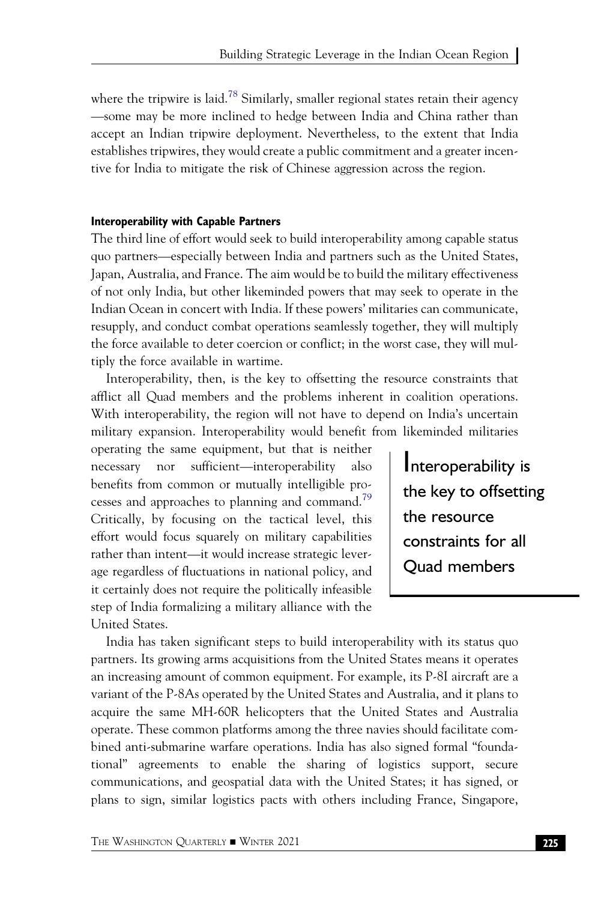where the tripwire is laid.<sup>[78](#page-30-8)</sup> Similarly, smaller regional states retain their agency —some may be more inclined to hedge between India and China rather than accept an Indian tripwire deployment. Nevertheless, to the extent that India establishes tripwires, they would create a public commitment and a greater incentive for India to mitigate the risk of Chinese aggression across the region.

#### Interoperability with Capable Partners

The third line of effort would seek to build interoperability among capable status quo partners—especially between India and partners such as the United States, Japan, Australia, and France. The aim would be to build the military effectiveness of not only India, but other likeminded powers that may seek to operate in the Indian Ocean in concert with India. If these powers' militaries can communicate, resupply, and conduct combat operations seamlessly together, they will multiply the force available to deter coercion or conflict; in the worst case, they will multiply the force available in wartime.

Interoperability, then, is the key to offsetting the resource constraints that afflict all Quad members and the problems inherent in coalition operations. With interoperability, the region will not have to depend on India's uncertain military expansion. Interoperability would benefit from likeminded militaries

operating the same equipment, but that is neither necessary nor sufficient—interoperability also benefits from common or mutually intelligible processes and approaches to planning and command.[79](#page-30-9) Critically, by focusing on the tactical level, this effort would focus squarely on military capabilities rather than intent—it would increase strategic leverage regardless of fluctuations in national policy, and it certainly does not require the politically infeasible step of India formalizing a military alliance with the United States.

Interoperability is the key to offsetting the resource constraints for all Quad members

India has taken significant steps to build interoperability with its status quo partners. Its growing arms acquisitions from the United States means it operates an increasing amount of common equipment. For example, its P-8I aircraft are a variant of the P-8As operated by the United States and Australia, and it plans to acquire the same MH-60R helicopters that the United States and Australia operate. These common platforms among the three navies should facilitate combined anti-submarine warfare operations. India has also signed formal "foundational" agreements to enable the sharing of logistics support, secure communications, and geospatial data with the United States; it has signed, or plans to sign, similar logistics pacts with others including France, Singapore,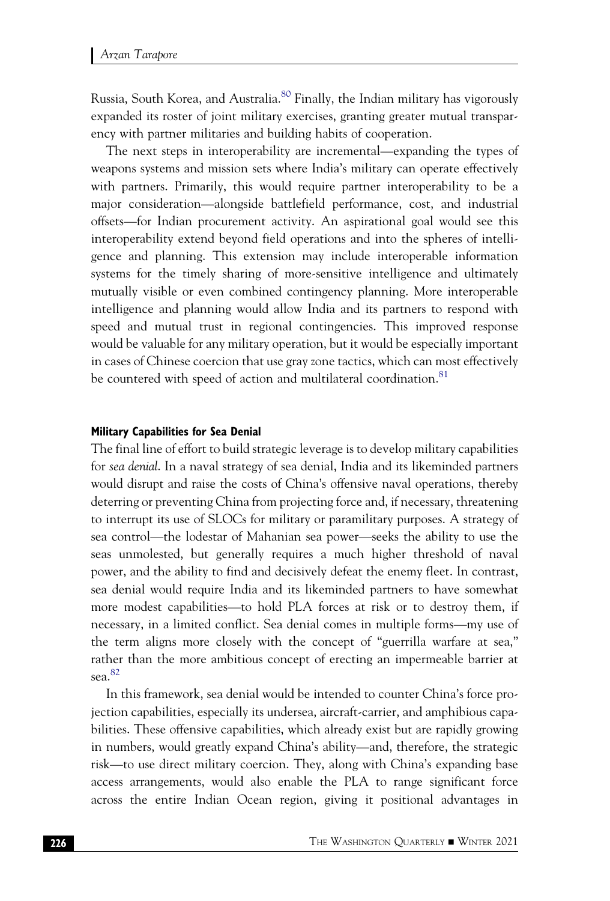Russia, South Korea, and Australia.[80](#page-30-10) Finally, the Indian military has vigorously expanded its roster of joint military exercises, granting greater mutual transparency with partner militaries and building habits of cooperation.

The next steps in interoperability are incremental—expanding the types of weapons systems and mission sets where India's military can operate effectively with partners. Primarily, this would require partner interoperability to be a major consideration—alongside battlefield performance, cost, and industrial offsets—for Indian procurement activity. An aspirational goal would see this interoperability extend beyond field operations and into the spheres of intelligence and planning. This extension may include interoperable information systems for the timely sharing of more-sensitive intelligence and ultimately mutually visible or even combined contingency planning. More interoperable intelligence and planning would allow India and its partners to respond with speed and mutual trust in regional contingencies. This improved response would be valuable for any military operation, but it would be especially important in cases of Chinese coercion that use gray zone tactics, which can most effectively be countered with speed of action and multilateral coordination.<sup>[81](#page-30-11)</sup>

#### Military Capabilities for Sea Denial

The final line of effort to build strategic leverage is to develop military capabilities for sea denial. In a naval strategy of sea denial, India and its likeminded partners would disrupt and raise the costs of China's offensive naval operations, thereby deterring or preventing China from projecting force and, if necessary, threatening to interrupt its use of SLOCs for military or paramilitary purposes. A strategy of sea control—the lodestar of Mahanian sea power—seeks the ability to use the seas unmolested, but generally requires a much higher threshold of naval power, and the ability to find and decisively defeat the enemy fleet. In contrast, sea denial would require India and its likeminded partners to have somewhat more modest capabilities—to hold PLA forces at risk or to destroy them, if necessary, in a limited conflict. Sea denial comes in multiple forms—my use of the term aligns more closely with the concept of "guerrilla warfare at sea," rather than the more ambitious concept of erecting an impermeable barrier at sea. [82](#page-30-12)

In this framework, sea denial would be intended to counter China's force projection capabilities, especially its undersea, aircraft-carrier, and amphibious capabilities. These offensive capabilities, which already exist but are rapidly growing in numbers, would greatly expand China's ability—and, therefore, the strategic risk—to use direct military coercion. They, along with China's expanding base access arrangements, would also enable the PLA to range significant force across the entire Indian Ocean region, giving it positional advantages in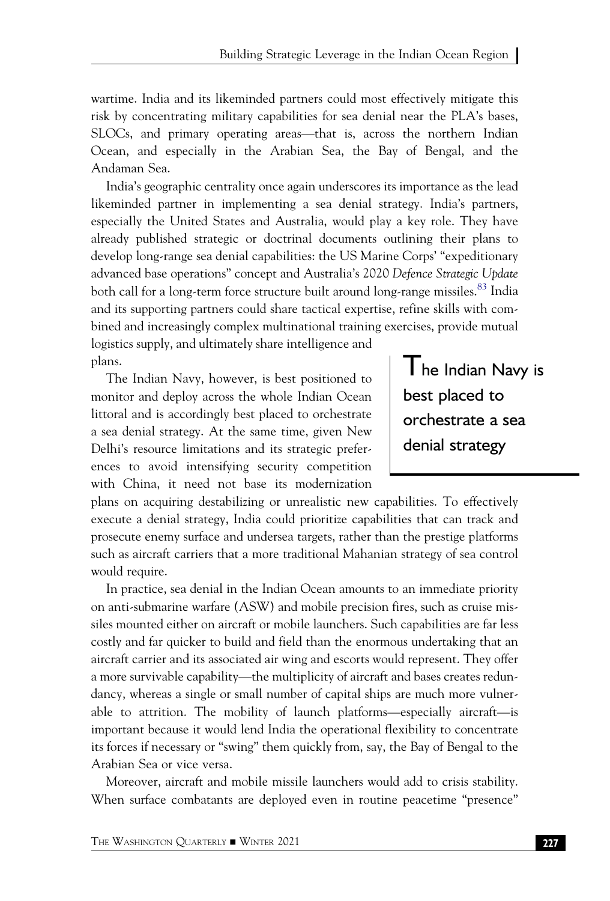wartime. India and its likeminded partners could most effectively mitigate this risk by concentrating military capabilities for sea denial near the PLA's bases, SLOCs, and primary operating areas—that is, across the northern Indian Ocean, and especially in the Arabian Sea, the Bay of Bengal, and the Andaman Sea.

India's geographic centrality once again underscores its importance as the lead likeminded partner in implementing a sea denial strategy. India's partners, especially the United States and Australia, would play a key role. They have already published strategic or doctrinal documents outlining their plans to develop long-range sea denial capabilities: the US Marine Corps' "expeditionary advanced base operations" concept and Australia's 2020 Defence Strategic Update both call for a long-term force structure built around long-range missiles.<sup>[83](#page-30-13)</sup> India and its supporting partners could share tactical expertise, refine skills with combined and increasingly complex multinational training exercises, provide mutual

logistics supply, and ultimately share intelligence and plans.

The Indian Navy, however, is best positioned to monitor and deploy across the whole Indian Ocean littoral and is accordingly best placed to orchestrate a sea denial strategy. At the same time, given New Delhi's resource limitations and its strategic preferences to avoid intensifying security competition with China, it need not base its modernization

I he Indian Navy is best placed to orchestrate a sea denial strategy

plans on acquiring destabilizing or unrealistic new capabilities. To effectively execute a denial strategy, India could prioritize capabilities that can track and prosecute enemy surface and undersea targets, rather than the prestige platforms such as aircraft carriers that a more traditional Mahanian strategy of sea control would require.

In practice, sea denial in the Indian Ocean amounts to an immediate priority on anti-submarine warfare (ASW) and mobile precision fires, such as cruise missiles mounted either on aircraft or mobile launchers. Such capabilities are far less costly and far quicker to build and field than the enormous undertaking that an aircraft carrier and its associated air wing and escorts would represent. They offer a more survivable capability—the multiplicity of aircraft and bases creates redundancy, whereas a single or small number of capital ships are much more vulnerable to attrition. The mobility of launch platforms—especially aircraft—is important because it would lend India the operational flexibility to concentrate its forces if necessary or "swing" them quickly from, say, the Bay of Bengal to the Arabian Sea or vice versa.

Moreover, aircraft and mobile missile launchers would add to crisis stability. When surface combatants are deployed even in routine peacetime "presence"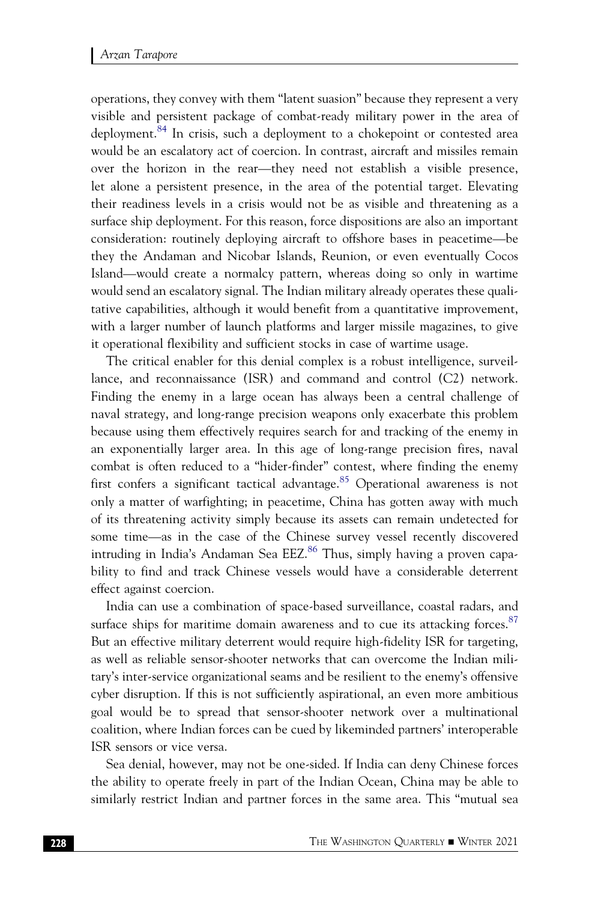operations, they convey with them "latent suasion" because they represent a very visible and persistent package of combat-ready military power in the area of deployment.<sup>[84](#page-31-0)</sup> In crisis, such a deployment to a chokepoint or contested area would be an escalatory act of coercion. In contrast, aircraft and missiles remain over the horizon in the rear—they need not establish a visible presence, let alone a persistent presence, in the area of the potential target. Elevating their readiness levels in a crisis would not be as visible and threatening as a surface ship deployment. For this reason, force dispositions are also an important consideration: routinely deploying aircraft to offshore bases in peacetime—be they the Andaman and Nicobar Islands, Reunion, or even eventually Cocos Island—would create a normalcy pattern, whereas doing so only in wartime would send an escalatory signal. The Indian military already operates these qualitative capabilities, although it would benefit from a quantitative improvement, with a larger number of launch platforms and larger missile magazines, to give it operational flexibility and sufficient stocks in case of wartime usage.

The critical enabler for this denial complex is a robust intelligence, surveillance, and reconnaissance (ISR) and command and control (C2) network. Finding the enemy in a large ocean has always been a central challenge of naval strategy, and long-range precision weapons only exacerbate this problem because using them effectively requires search for and tracking of the enemy in an exponentially larger area. In this age of long-range precision fires, naval combat is often reduced to a "hider-finder" contest, where finding the enemy first confers a significant tactical advantage.<sup>[85](#page-31-1)</sup> Operational awareness is not only a matter of warfighting; in peacetime, China has gotten away with much of its threatening activity simply because its assets can remain undetected for some time—as in the case of the Chinese survey vessel recently discovered intruding in India's Andaman Sea EEZ. $86$  Thus, simply having a proven capability to find and track Chinese vessels would have a considerable deterrent effect against coercion.

India can use a combination of space-based surveillance, coastal radars, and surface ships for maritime domain awareness and to cue its attacking forces.<sup>87</sup> But an effective military deterrent would require high-fidelity ISR for targeting, as well as reliable sensor-shooter networks that can overcome the Indian military's inter-service organizational seams and be resilient to the enemy's offensive cyber disruption. If this is not sufficiently aspirational, an even more ambitious goal would be to spread that sensor-shooter network over a multinational coalition, where Indian forces can be cued by likeminded partners' interoperable ISR sensors or vice versa.

Sea denial, however, may not be one-sided. If India can deny Chinese forces the ability to operate freely in part of the Indian Ocean, China may be able to similarly restrict Indian and partner forces in the same area. This "mutual sea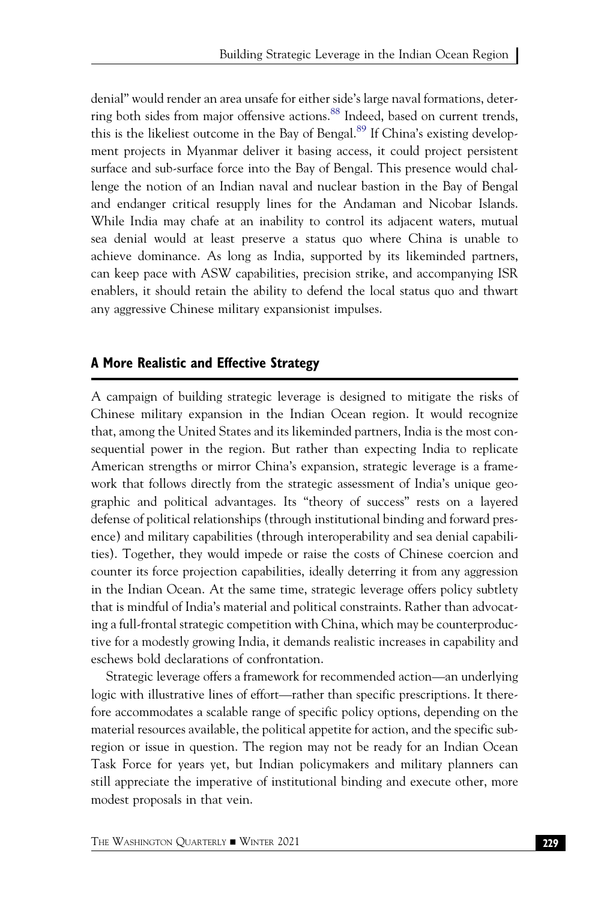denial" would render an area unsafe for either side's large naval formations, deter-ring both sides from major offensive actions.<sup>[88](#page-31-4)</sup> Indeed, based on current trends, this is the likeliest outcome in the Bay of Bengal.<sup>[89](#page-31-5)</sup> If China's existing development projects in Myanmar deliver it basing access, it could project persistent surface and sub-surface force into the Bay of Bengal. This presence would challenge the notion of an Indian naval and nuclear bastion in the Bay of Bengal and endanger critical resupply lines for the Andaman and Nicobar Islands. While India may chafe at an inability to control its adjacent waters, mutual sea denial would at least preserve a status quo where China is unable to achieve dominance. As long as India, supported by its likeminded partners, can keep pace with ASW capabilities, precision strike, and accompanying ISR enablers, it should retain the ability to defend the local status quo and thwart any aggressive Chinese military expansionist impulses.

## A More Realistic and Effective Strategy

A campaign of building strategic leverage is designed to mitigate the risks of Chinese military expansion in the Indian Ocean region. It would recognize that, among the United States and its likeminded partners, India is the most consequential power in the region. But rather than expecting India to replicate American strengths or mirror China's expansion, strategic leverage is a framework that follows directly from the strategic assessment of India's unique geographic and political advantages. Its "theory of success" rests on a layered defense of political relationships (through institutional binding and forward presence) and military capabilities (through interoperability and sea denial capabilities). Together, they would impede or raise the costs of Chinese coercion and counter its force projection capabilities, ideally deterring it from any aggression in the Indian Ocean. At the same time, strategic leverage offers policy subtlety that is mindful of India's material and political constraints. Rather than advocating a full-frontal strategic competition with China, which may be counterproductive for a modestly growing India, it demands realistic increases in capability and eschews bold declarations of confrontation.

Strategic leverage offers a framework for recommended action—an underlying logic with illustrative lines of effort—rather than specific prescriptions. It therefore accommodates a scalable range of specific policy options, depending on the material resources available, the political appetite for action, and the specific subregion or issue in question. The region may not be ready for an Indian Ocean Task Force for years yet, but Indian policymakers and military planners can still appreciate the imperative of institutional binding and execute other, more modest proposals in that vein.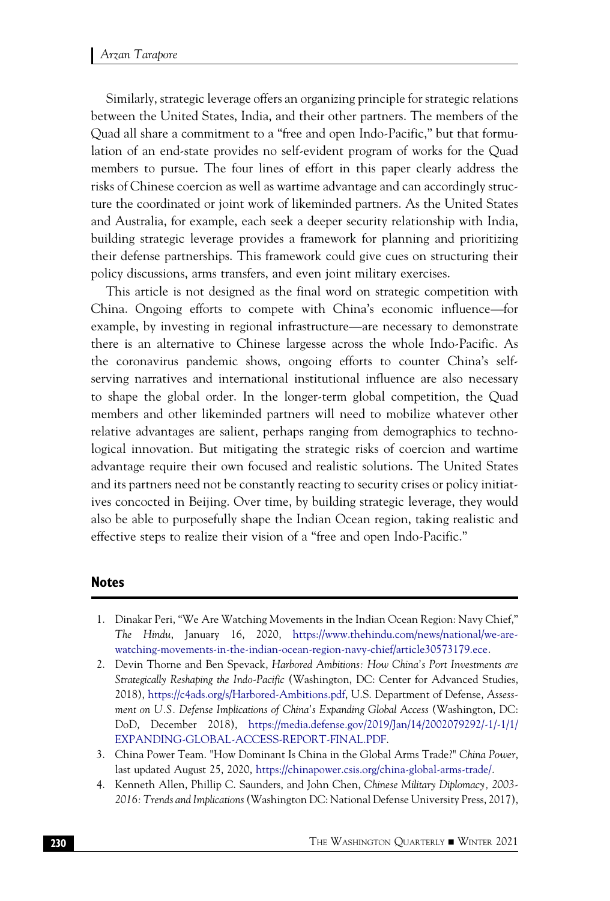Similarly, strategic leverage offers an organizing principle for strategic relations between the United States, India, and their other partners. The members of the Quad all share a commitment to a "free and open Indo-Pacific," but that formulation of an end-state provides no self-evident program of works for the Quad members to pursue. The four lines of effort in this paper clearly address the risks of Chinese coercion as well as wartime advantage and can accordingly structure the coordinated or joint work of likeminded partners. As the United States and Australia, for example, each seek a deeper security relationship with India, building strategic leverage provides a framework for planning and prioritizing their defense partnerships. This framework could give cues on structuring their policy discussions, arms transfers, and even joint military exercises.

This article is not designed as the final word on strategic competition with China. Ongoing efforts to compete with China's economic influence—for example, by investing in regional infrastructure—are necessary to demonstrate there is an alternative to Chinese largesse across the whole Indo-Pacific. As the coronavirus pandemic shows, ongoing efforts to counter China's selfserving narratives and international institutional influence are also necessary to shape the global order. In the longer-term global competition, the Quad members and other likeminded partners will need to mobilize whatever other relative advantages are salient, perhaps ranging from demographics to technological innovation. But mitigating the strategic risks of coercion and wartime advantage require their own focused and realistic solutions. The United States and its partners need not be constantly reacting to security crises or policy initiatives concocted in Beijing. Over time, by building strategic leverage, they would also be able to purposefully shape the Indian Ocean region, taking realistic and effective steps to realize their vision of a "free and open Indo-Pacific."

#### Notes

- <span id="page-24-0"></span>1. Dinakar Peri, "We Are Watching Movements in the Indian Ocean Region: Navy Chief," The Hindu, January 16, 2020, [https://www.thehindu.com/news/national/we-are](https://www.thehindu.com/news/national/we-are-watching-movements-in-the-indian-ocean-region-navy-chief/article30573179.ece)[watching-movements-in-the-indian-ocean-region-navy-chief/article30573179.ece](https://www.thehindu.com/news/national/we-are-watching-movements-in-the-indian-ocean-region-navy-chief/article30573179.ece).
- <span id="page-24-1"></span>2. Devin Thorne and Ben Spevack, Harbored Ambitions: How China's Port Investments are Strategically Reshaping the Indo-Pacific (Washington, DC: Center for Advanced Studies, 2018), [https://c4ads.org/s/Harbored-Ambitions.pdf,](https://c4ads.org/s/Harbored-Ambitions.pdf) U.S. Department of Defense, Assessment on U.S. Defense Implications of China's Expanding Global Access (Washington, DC: DoD, December 2018), [https://media.defense.gov/2019/Jan/14/2002079292/-1/-1/1/](https://media.defense.gov/2019/Jan/14/2002079292/-1/-1/1/EXPANDING-GLOBAL-ACCESS-REPORT-FINAL.PDF) [EXPANDING-GLOBAL-ACCESS-REPORT-FINAL.PDF.](https://media.defense.gov/2019/Jan/14/2002079292/-1/-1/1/EXPANDING-GLOBAL-ACCESS-REPORT-FINAL.PDF)
- <span id="page-24-2"></span>3. China Power Team. "How Dominant Is China in the Global Arms Trade?" China Power, last updated August 25, 2020, <https://chinapower.csis.org/china-global-arms-trade/>.
- <span id="page-24-3"></span>4. Kenneth Allen, Phillip C. Saunders, and John Chen, Chinese Military Diplomacy, 2003- 2016: Trends and Implications(Washington DC: National Defense University Press, 2017),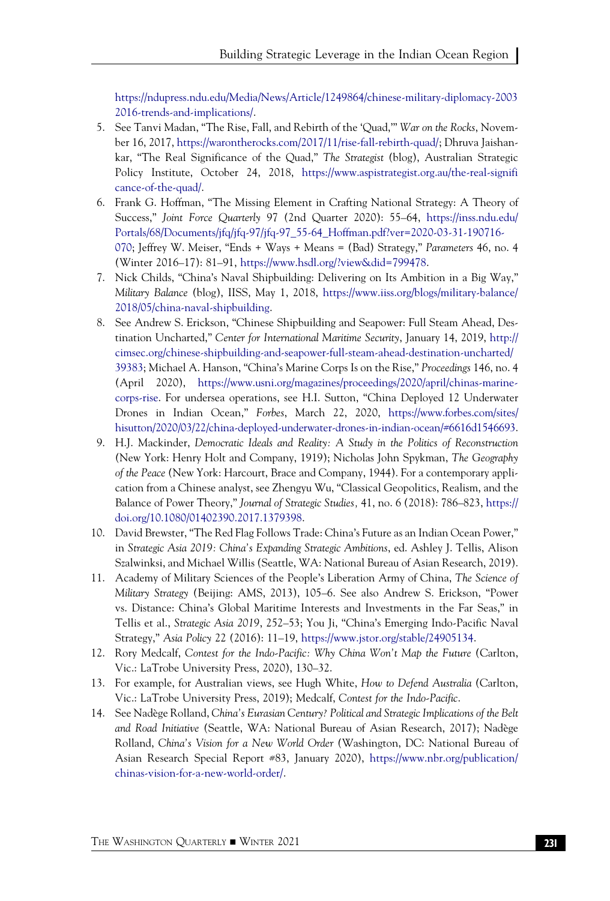[https://ndupress.ndu.edu/Media/News/Article/1249864/chinese-military-diplomacy-2003](https://ndupress.ndu.edu/Media/News/Article/1249864/chinese-military-diplomacy-20032016-trends-and-implications/) [2016-trends-and-implications/.](https://ndupress.ndu.edu/Media/News/Article/1249864/chinese-military-diplomacy-20032016-trends-and-implications/)

- <span id="page-25-0"></span>5. See Tanvi Madan, "The Rise, Fall, and Rebirth of the 'Quad,'" War on the Rocks, November 16, 2017, [https://warontherocks.com/2017/11/rise-fall-rebirth-quad/;](https://warontherocks.com/2017/11/rise-fall-rebirth-quad/) Dhruva Jaishankar, "The Real Significance of the Quad," The Strategist (blog), Australian Strategic Policy Institute, October 24, 2018, [https://www.aspistrategist.org.au/the-real-signifi](https://www.aspistrategist.org.au/the-real-significance-of-the-quad/) [cance-of-the-quad/](https://www.aspistrategist.org.au/the-real-significance-of-the-quad/).
- <span id="page-25-1"></span>6. Frank G. Hoffman, "The Missing Element in Crafting National Strategy: A Theory of Success," Joint Force Quarterly 97 (2nd Quarter 2020): 55–64, [https://inss.ndu.edu/](https://inss.ndu.edu/Portals/68/Documents/jfq/jfq-97/jfq-97_55-64_Hoffman.pdf?ver=2020-03-31-190716-070) [Portals/68/Documents/jfq/jfq-97/jfq-97\\_55-64\\_Hoffman.pdf?ver=2020-03-31-190716-](https://inss.ndu.edu/Portals/68/Documents/jfq/jfq-97/jfq-97_55-64_Hoffman.pdf?ver=2020-03-31-190716-070) [070;](https://inss.ndu.edu/Portals/68/Documents/jfq/jfq-97/jfq-97_55-64_Hoffman.pdf?ver=2020-03-31-190716-070) Jeffrey W. Meiser, "Ends + Ways + Means = (Bad) Strategy," Parameters 46, no. 4 (Winter 2016–17): 81–91, [https://www.hsdl.org/?view&did=799478.](https://www.hsdl.org/?view%26did=799478)
- <span id="page-25-2"></span>7. Nick Childs, "China's Naval Shipbuilding: Delivering on Its Ambition in a Big Way," Military Balance (blog), IISS, May 1, 2018, [https://www.iiss.org/blogs/military-balance/](https://www.iiss.org/blogs/military-balance/2018/05/china-naval-shipbuilding) [2018/05/china-naval-shipbuilding.](https://www.iiss.org/blogs/military-balance/2018/05/china-naval-shipbuilding)
- <span id="page-25-3"></span>8. See Andrew S. Erickson, "Chinese Shipbuilding and Seapower: Full Steam Ahead, Destination Uncharted," Center for International Maritime Security, January 14, 2019, [http://](http://cimsec.org/chinese-shipbuilding-and-seapower-full-steam-ahead-destination-uncharted/39383) [cimsec.org/chinese-shipbuilding-and-seapower-full-steam-ahead-destination-uncharted/](http://cimsec.org/chinese-shipbuilding-and-seapower-full-steam-ahead-destination-uncharted/39383) [39383;](http://cimsec.org/chinese-shipbuilding-and-seapower-full-steam-ahead-destination-uncharted/39383) Michael A. Hanson, "China's Marine Corps Is on the Rise," Proceedings 146, no. 4 (April 2020), [https://www.usni.org/magazines/proceedings/2020/april/chinas-marine](https://www.usni.org/magazines/proceedings/2020/april/chinas-marine-corps-rise)[corps-rise](https://www.usni.org/magazines/proceedings/2020/april/chinas-marine-corps-rise). For undersea operations, see H.I. Sutton, "China Deployed 12 Underwater Drones in Indian Ocean," Forbes, March 22, 2020, [https://www.forbes.com/sites/](https://www.forbes.com/sites/hisutton/2020/03/22/china-deployed-underwater-drones-in-indian-ocean/#6616d1546693) [hisutton/2020/03/22/china-deployed-underwater-drones-in-indian-ocean/#6616d1546693](https://www.forbes.com/sites/hisutton/2020/03/22/china-deployed-underwater-drones-in-indian-ocean/#6616d1546693).
- <span id="page-25-4"></span>9. H.J. Mackinder, Democratic Ideals and Reality: A Study in the Politics of Reconstruction (New York: Henry Holt and Company, 1919); Nicholas John Spykman, The Geography of the Peace (New York: Harcourt, Brace and Company, 1944). For a contemporary application from a Chinese analyst, see Zhengyu Wu, "Classical Geopolitics, Realism, and the Balance of Power Theory," Journal of Strategic Studies, 41, no. 6 (2018): 786–823, [https://](https://doi.org/10.1080/01402390.2017.1379398) [doi.org/10.1080/01402390.2017.1379398.](https://doi.org/10.1080/01402390.2017.1379398)
- <span id="page-25-5"></span>10. David Brewster, "The Red Flag Follows Trade: China's Future as an Indian Ocean Power," in Strategic Asia 2019: China's Expanding Strategic Ambitions, ed. Ashley J. Tellis, Alison Szalwinksi, and Michael Willis (Seattle, WA: National Bureau of Asian Research, 2019).
- <span id="page-25-6"></span>11. Academy of Military Sciences of the People's Liberation Army of China, The Science of Military Strategy (Beijing: AMS, 2013), 105–6. See also Andrew S. Erickson, "Power vs. Distance: China's Global Maritime Interests and Investments in the Far Seas," in Tellis et al., Strategic Asia 2019, 252–53; You Ji, "China's Emerging Indo-Pacific Naval Strategy," Asia Policy 22 (2016): 11–19, [https://www.jstor.org/stable/24905134.](https://www.jstor.org/stable/24905134)
- <span id="page-25-7"></span>12. Rory Medcalf, Contest for the Indo-Pacific: Why China Won't Map the Future (Carlton, Vic.: LaTrobe University Press, 2020), 130–32.
- <span id="page-25-8"></span>13. For example, for Australian views, see Hugh White, How to Defend Australia (Carlton, Vic.: LaTrobe University Press, 2019); Medcalf, Contest for the Indo-Pacific.
- <span id="page-25-9"></span>14. See Nadège Rolland, China's Eurasian Century? Political and Strategic Implications of the Belt and Road Initiative (Seattle, WA: National Bureau of Asian Research, 2017); Nadège Rolland, China's Vision for a New World Order (Washington, DC: National Bureau of Asian Research Special Report #83, January 2020), [https://www.nbr.org/publication/](https://www.nbr.org/publication/chinas-vision-for-a-new-world-order/) [chinas-vision-for-a-new-world-order/](https://www.nbr.org/publication/chinas-vision-for-a-new-world-order/).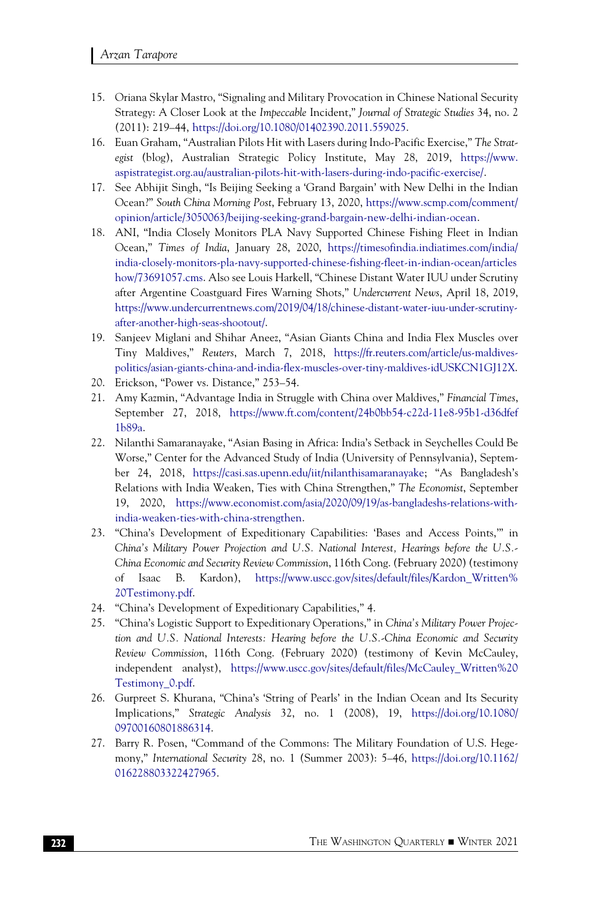- <span id="page-26-0"></span>15. Oriana Skylar Mastro, "Signaling and Military Provocation in Chinese National Security Strategy: A Closer Look at the Impeccable Incident," Journal of Strategic Studies 34, no. 2 (2011): 219–44, [https://doi.org/10.1080/01402390.2011.559025.](https://doi.org/10.1080/01402390.2011.559025)
- <span id="page-26-1"></span>16. Euan Graham, "Australian Pilots Hit with Lasers during Indo-Pacific Exercise," The Strategist (blog), Australian Strategic Policy Institute, May 28, 2019, [https://www.](https://www.aspistrategist.org.au/australian-pilots-hit-with-lasers-during-indo-pacific-exercise/) [aspistrategist.org.au/australian-pilots-hit-with-lasers-during-indo-pacific-exercise/.](https://www.aspistrategist.org.au/australian-pilots-hit-with-lasers-during-indo-pacific-exercise/)
- <span id="page-26-2"></span>17. See Abhijit Singh, "Is Beijing Seeking a 'Grand Bargain' with New Delhi in the Indian Ocean?" South China Morning Post, February 13, 2020, [https://www.scmp.com/comment/](https://www.scmp.com/comment/opinion/article/3050063/beijing-seeking-grand-bargain-new-delhi-indian-ocean) [opinion/article/3050063/beijing-seeking-grand-bargain-new-delhi-indian-ocean](https://www.scmp.com/comment/opinion/article/3050063/beijing-seeking-grand-bargain-new-delhi-indian-ocean).
- <span id="page-26-3"></span>18. ANI, "India Closely Monitors PLA Navy Supported Chinese Fishing Fleet in Indian Ocean," Times of India, January 28, 2020, [https://timesofindia.indiatimes.com/india/](https://timesofindia.indiatimes.com/india/india-closely-monitors-pla-navy-supported-chinese-fishing-fleet-in-indian-ocean/articleshow/73691057.cms) [india-closely-monitors-pla-navy-supported-chinese-fishing-fleet-in-indian-ocean/articles](https://timesofindia.indiatimes.com/india/india-closely-monitors-pla-navy-supported-chinese-fishing-fleet-in-indian-ocean/articleshow/73691057.cms) [how/73691057.cms](https://timesofindia.indiatimes.com/india/india-closely-monitors-pla-navy-supported-chinese-fishing-fleet-in-indian-ocean/articleshow/73691057.cms). Also see Louis Harkell, "Chinese Distant Water IUU under Scrutiny after Argentine Coastguard Fires Warning Shots," Undercurrent News, April 18, 2019, [https://www.undercurrentnews.com/2019/04/18/chinese-distant-water-iuu-under-scrutiny](https://www.undercurrentnews.com/2019/04/18/chinese-distant-water-iuu-under-scrutiny-after-another-high-seas-shootout/)[after-another-high-seas-shootout/.](https://www.undercurrentnews.com/2019/04/18/chinese-distant-water-iuu-under-scrutiny-after-another-high-seas-shootout/)
- <span id="page-26-4"></span>19. Sanjeev Miglani and Shihar Aneez, "Asian Giants China and India Flex Muscles over Tiny Maldives," Reuters, March 7, 2018, [https://fr.reuters.com/article/us-maldives](https://fr.reuters.com/article/us-maldives-politics/asian-giants-china-and-india-flex-muscles-over-tiny-maldives-idUSKCN1GJ12X)[politics/asian-giants-china-and-india-flex-muscles-over-tiny-maldives-idUSKCN1GJ12X.](https://fr.reuters.com/article/us-maldives-politics/asian-giants-china-and-india-flex-muscles-over-tiny-maldives-idUSKCN1GJ12X)
- <span id="page-26-6"></span><span id="page-26-5"></span>20. Erickson, "Power vs. Distance," 253–54.
- 21. Amy Kazmin, "Advantage India in Struggle with China over Maldives," Financial Times, September 27, 2018, [https://www.ft.com/content/24b0bb54-c22d-11e8-95b1-d36dfef](https://www.ft.com/content/24b0bb54-c22d-11e8-95b1-d36dfef1b89a) [1b89a](https://www.ft.com/content/24b0bb54-c22d-11e8-95b1-d36dfef1b89a).
- <span id="page-26-7"></span>22. Nilanthi Samaranayake, "Asian Basing in Africa: India's Setback in Seychelles Could Be Worse," Center for the Advanced Study of India (University of Pennsylvania), September 24, 2018, <https://casi.sas.upenn.edu/iit/nilanthisamaranayake>; "As Bangladesh's Relations with India Weaken, Ties with China Strengthen," The Economist, September 19, 2020, [https://www.economist.com/asia/2020/09/19/as-bangladeshs-relations-with](https://www.economist.com/asia/2020/09/19/as-bangladeshs-relations-with-india-weaken-ties-with-china-strengthen)[india-weaken-ties-with-china-strengthen.](https://www.economist.com/asia/2020/09/19/as-bangladeshs-relations-with-india-weaken-ties-with-china-strengthen)
- <span id="page-26-8"></span>23. "China's Development of Expeditionary Capabilities: 'Bases and Access Points,'" in China's Military Power Projection and U.S. National Interest, Hearings before the U.S.- China Economic and Security Review Commission, 116th Cong. (February 2020) (testimony of Isaac B. Kardon), [https://www.uscc.gov/sites/default/files/Kardon\\_Written%](https://www.uscc.gov/sites/default/files/Kardon_Written%20Testimony.pdf) [20Testimony.pdf.](https://www.uscc.gov/sites/default/files/Kardon_Written%20Testimony.pdf)
- <span id="page-26-10"></span><span id="page-26-9"></span>24. "China's Development of Expeditionary Capabilities," 4.
- 25. "China's Logistic Support to Expeditionary Operations," in China's Military Power Projection and U.S. National Interests: Hearing before the U.S.-China Economic and Security Review Commission, 116th Cong. (February 2020) (testimony of Kevin McCauley, independent analyst), [https://www.uscc.gov/sites/default/files/McCauley\\_Written%20](https://www.uscc.gov/sites/default/files/McCauley_Written%20Testimony_0.pdf) [Testimony\\_0.pdf.](https://www.uscc.gov/sites/default/files/McCauley_Written%20Testimony_0.pdf)
- <span id="page-26-11"></span>26. Gurpreet S. Khurana, "China's 'String of Pearls' in the Indian Ocean and Its Security Implications," Strategic Analysis 32, no. 1 (2008), 19, [https://doi.org/10.1080/](https://doi.org/10.1080/09700160801886314) [09700160801886314.](https://doi.org/10.1080/09700160801886314)
- <span id="page-26-12"></span>27. Barry R. Posen, "Command of the Commons: The Military Foundation of U.S. Hegemony," International Security 28, no. 1 (Summer 2003): 5–46, [https://doi.org/10.1162/](https://doi.org/10.1162/016228803322427965) [016228803322427965](https://doi.org/10.1162/016228803322427965).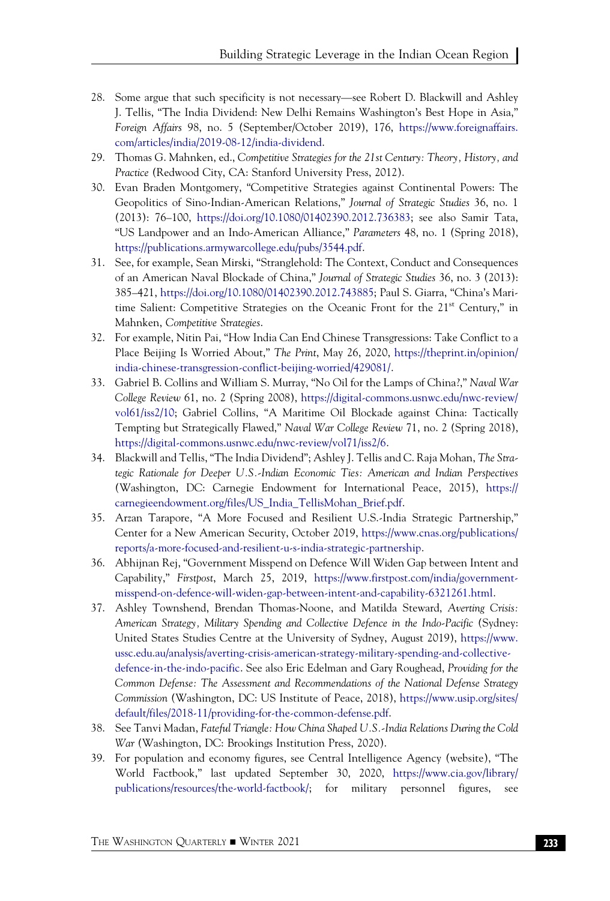- <span id="page-27-0"></span>28. Some argue that such specificity is not necessary—see Robert D. Blackwill and Ashley J. Tellis, "The India Dividend: New Delhi Remains Washington's Best Hope in Asia," Foreign Affairs 98, no. 5 (September/October 2019), 176, [https://www.foreignaffairs.](https://www.foreignaffairs.com/articles/india/2019-08-12/india-dividend) [com/articles/india/2019-08-12/india-dividend](https://www.foreignaffairs.com/articles/india/2019-08-12/india-dividend).
- <span id="page-27-1"></span>29. Thomas G. Mahnken, ed., Competitive Strategies for the 21st Century: Theory, History, and Practice (Redwood City, CA: Stanford University Press, 2012).
- <span id="page-27-2"></span>30. Evan Braden Montgomery, "Competitive Strategies against Continental Powers: The Geopolitics of Sino-Indian-American Relations," Journal of Strategic Studies 36, no. 1 (2013): 76–100, <https://doi.org/10.1080/01402390.2012.736383>; see also Samir Tata, "US Landpower and an Indo-American Alliance," Parameters 48, no. 1 (Spring 2018), <https://publications.armywarcollege.edu/pubs/3544.pdf>.
- <span id="page-27-3"></span>31. See, for example, Sean Mirski, "Stranglehold: The Context, Conduct and Consequences of an American Naval Blockade of China," Journal of Strategic Studies 36, no. 3 (2013): 385–421, [https://doi.org/10.1080/01402390.2012.743885;](https://doi.org/10.1080/01402390.2012.743885) Paul S. Giarra, "China's Maritime Salient: Competitive Strategies on the Oceanic Front for the 21<sup>st</sup> Century," in Mahnken, Competitive Strategies.
- <span id="page-27-4"></span>32. For example, Nitin Pai, "How India Can End Chinese Transgressions: Take Conflict to a Place Beijing Is Worried About," The Print, May 26, 2020, [https://theprint.in/opinion/](https://theprint.in/opinion/india-chinese-transgression-conflict-beijing-worried/429081/) [india-chinese-transgression-conflict-beijing-worried/429081/](https://theprint.in/opinion/india-chinese-transgression-conflict-beijing-worried/429081/).
- <span id="page-27-5"></span>33. Gabriel B. Collins and William S. Murray, "No Oil for the Lamps of China?," Naval War College Review 61, no. 2 (Spring 2008), [https://digital-commons.usnwc.edu/nwc-review/](https://digital-commons.usnwc.edu/nwc-review/vol61/iss2/10) [vol61/iss2/10;](https://digital-commons.usnwc.edu/nwc-review/vol61/iss2/10) Gabriel Collins, "A Maritime Oil Blockade against China: Tactically Tempting but Strategically Flawed," Naval War College Review 71, no. 2 (Spring 2018), [https://digital-commons.usnwc.edu/nwc-review/vol71/iss2/6.](https://digital-commons.usnwc.edu/nwc-review/vol71/iss2/6)
- <span id="page-27-6"></span>34. Blackwill and Tellis, "The India Dividend"; Ashley J. Tellis and C. Raja Mohan, The Strategic Rationale for Deeper U.S.-Indian Economic Ties: American and Indian Perspectives (Washington, DC: Carnegie Endowment for International Peace, 2015), [https://](https://carnegieendowment.org/files/US_India_TellisMohan_Brief.pdf) [carnegieendowment.org/files/US\\_India\\_TellisMohan\\_Brief.pdf.](https://carnegieendowment.org/files/US_India_TellisMohan_Brief.pdf)
- <span id="page-27-7"></span>35. Arzan Tarapore, "A More Focused and Resilient U.S.-India Strategic Partnership," Center for a New American Security, October 2019, [https://www.cnas.org/publications/](https://www.cnas.org/publications/reports/a-more-focused-and-resilient-u-s-india-strategic-partnership) [reports/a-more-focused-and-resilient-u-s-india-strategic-partnership.](https://www.cnas.org/publications/reports/a-more-focused-and-resilient-u-s-india-strategic-partnership)
- <span id="page-27-8"></span>36. Abhijnan Rej, "Government Misspend on Defence Will Widen Gap between Intent and Capability," Firstpost, March 25, 2019, [https://www.firstpost.com/india/government](https://www.firstpost.com/india/government-misspend-on-defence-will-widen-gap-between-intent-and-capability-6321261.html)[misspend-on-defence-will-widen-gap-between-intent-and-capability-6321261.html](https://www.firstpost.com/india/government-misspend-on-defence-will-widen-gap-between-intent-and-capability-6321261.html).
- <span id="page-27-9"></span>37. Ashley Townshend, Brendan Thomas-Noone, and Matilda Steward, Averting Crisis: American Strategy, Military Spending and Collective Defence in the Indo-Pacific (Sydney: United States Studies Centre at the University of Sydney, August 2019), [https://www.](https://www.ussc.edu.au/analysis/averting-crisis-american-strategy-military-spending-and-collective-defence-in-the-indo-pacific) [ussc.edu.au/analysis/averting-crisis-american-strategy-military-spending-and-collective](https://www.ussc.edu.au/analysis/averting-crisis-american-strategy-military-spending-and-collective-defence-in-the-indo-pacific)[defence-in-the-indo-pacific](https://www.ussc.edu.au/analysis/averting-crisis-american-strategy-military-spending-and-collective-defence-in-the-indo-pacific). See also Eric Edelman and Gary Roughead, Providing for the Common Defense: The Assessment and Recommendations of the National Defense Strategy Commission (Washington, DC: US Institute of Peace, 2018), [https://www.usip.org/sites/](https://www.usip.org/sites/default/files/2018-11/providing-for-the-common-defense.pdf) [default/files/2018-11/providing-for-the-common-defense.pdf.](https://www.usip.org/sites/default/files/2018-11/providing-for-the-common-defense.pdf)
- <span id="page-27-10"></span>38. See Tanvi Madan, Fateful Triangle: How China Shaped U.S.-India Relations During the Cold War (Washington, DC: Brookings Institution Press, 2020).
- <span id="page-27-11"></span>39. For population and economy figures, see Central Intelligence Agency (website), "The World Factbook," last updated September 30, 2020, [https://www.cia.gov/library/](https://www.cia.gov/library/publications/resources/the-world-factbook/) [publications/resources/the-world-factbook/](https://www.cia.gov/library/publications/resources/the-world-factbook/); for military personnel figures, see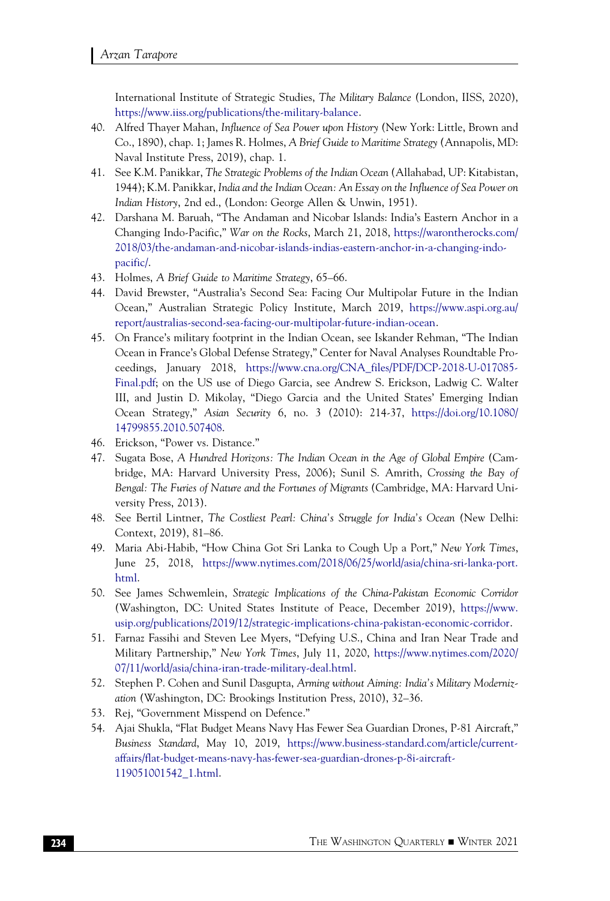International Institute of Strategic Studies, The Military Balance (London, IISS, 2020), [https://www.iiss.org/publications/the-military-balance.](https://www.iiss.org/publications/the-military-balance)

- <span id="page-28-0"></span>40. Alfred Thayer Mahan, Influence of Sea Power upon History (New York: Little, Brown and Co., 1890), chap. 1; James R. Holmes, A Brief Guide to Maritime Strategy (Annapolis, MD: Naval Institute Press, 2019), chap. 1.
- <span id="page-28-1"></span>41. See K.M. Panikkar, The Strategic Problems of the Indian Ocean (Allahabad, UP: Kitabistan, 1944); K.M. Panikkar, India and the Indian Ocean: An Essay on the Influence of Sea Power on Indian History, 2nd ed., (London: George Allen & Unwin, 1951).
- <span id="page-28-2"></span>42. Darshana M. Baruah, "The Andaman and Nicobar Islands: India's Eastern Anchor in a Changing Indo-Pacific," War on the Rocks, March 21, 2018, [https://warontherocks.com/](https://warontherocks.com/2018/03/the-andaman-and-nicobar-islands-indias-eastern-anchor-in-a-changing-indo-pacific/) [2018/03/the-andaman-and-nicobar-islands-indias-eastern-anchor-in-a-changing-indo](https://warontherocks.com/2018/03/the-andaman-and-nicobar-islands-indias-eastern-anchor-in-a-changing-indo-pacific/)[pacific/](https://warontherocks.com/2018/03/the-andaman-and-nicobar-islands-indias-eastern-anchor-in-a-changing-indo-pacific/).
- <span id="page-28-4"></span><span id="page-28-3"></span>43. Holmes, A Brief Guide to Maritime Strategy, 65–66.
- 44. David Brewster, "Australia's Second Sea: Facing Our Multipolar Future in the Indian Ocean," Australian Strategic Policy Institute, March 2019, [https://www.aspi.org.au/](https://www.aspi.org.au/report/australias-second-sea-facing-our-multipolar-future-indian-ocean) [report/australias-second-sea-facing-our-multipolar-future-indian-ocean](https://www.aspi.org.au/report/australias-second-sea-facing-our-multipolar-future-indian-ocean).
- <span id="page-28-5"></span>45. On France's military footprint in the Indian Ocean, see Iskander Rehman, "The Indian Ocean in France's Global Defense Strategy," Center for Naval Analyses Roundtable Proceedings, January 2018, [https://www.cna.org/CNA\\_files/PDF/DCP-2018-U-017085-](https://www.cna.org/CNA_files/PDF/DCP-2018-U-017085-Final.pdf) [Final.pdf](https://www.cna.org/CNA_files/PDF/DCP-2018-U-017085-Final.pdf); on the US use of Diego Garcia, see Andrew S. Erickson, Ladwig C. Walter III, and Justin D. Mikolay, "Diego Garcia and the United States' Emerging Indian Ocean Strategy," Asian Security 6, no. 3 (2010): 214-37, [https://doi.org/10.1080/](https://doi.org/10.1080/14799855.2010.507408) [14799855.2010.507408.](https://doi.org/10.1080/14799855.2010.507408)
- <span id="page-28-7"></span><span id="page-28-6"></span>46. Erickson, "Power vs. Distance."
- 47. Sugata Bose, A Hundred Horizons: The Indian Ocean in the Age of Global Empire (Cambridge, MA: Harvard University Press, 2006); Sunil S. Amrith, Crossing the Bay of Bengal: The Furies of Nature and the Fortunes of Migrants (Cambridge, MA: Harvard University Press, 2013).
- <span id="page-28-8"></span>48. See Bertil Lintner, The Costliest Pearl: China's Struggle for India's Ocean (New Delhi: Context, 2019), 81–86.
- <span id="page-28-9"></span>49. Maria Abi-Habib, "How China Got Sri Lanka to Cough Up a Port," New York Times, June 25, 2018, [https://www.nytimes.com/2018/06/25/world/asia/china-sri-lanka-port.](https://www.nytimes.com/2018/06/25/world/asia/china-sri-lanka-port.html) [html.](https://www.nytimes.com/2018/06/25/world/asia/china-sri-lanka-port.html)
- <span id="page-28-10"></span>50. See James Schwemlein, Strategic Implications of the China-Pakistan Economic Corridor (Washington, DC: United States Institute of Peace, December 2019), [https://www.](https://www.usip.org/publications/2019/12/strategic-implications-china-pakistan-economic-corridor) [usip.org/publications/2019/12/strategic-implications-china-pakistan-economic-corridor.](https://www.usip.org/publications/2019/12/strategic-implications-china-pakistan-economic-corridor)
- <span id="page-28-11"></span>51. Farnaz Fassihi and Steven Lee Myers, "Defying U.S., China and Iran Near Trade and Military Partnership," New York Times, July 11, 2020, [https://www.nytimes.com/2020/](https://www.nytimes.com/2020/07/11/world/asia/china-iran-trade-military-deal.html) [07/11/world/asia/china-iran-trade-military-deal.html.](https://www.nytimes.com/2020/07/11/world/asia/china-iran-trade-military-deal.html)
- <span id="page-28-12"></span>52. Stephen P. Cohen and Sunil Dasgupta, Arming without Aiming: India's Military Modernization (Washington, DC: Brookings Institution Press, 2010), 32–36.
- <span id="page-28-14"></span><span id="page-28-13"></span>53. Rej, "Government Misspend on Defence."
- 54. Ajai Shukla, "Flat Budget Means Navy Has Fewer Sea Guardian Drones, P-81 Aircraft," Business Standard, May 10, 2019, [https://www.business-standard.com/article/current](https://www.business-standard.com/article/current-affairs/flat-budget-means-navy-has-fewer-sea-guardian-drones-p-8i-aircraft-119051001542_1.html)[affairs/flat-budget-means-navy-has-fewer-sea-guardian-drones-p-8i-aircraft-](https://www.business-standard.com/article/current-affairs/flat-budget-means-navy-has-fewer-sea-guardian-drones-p-8i-aircraft-119051001542_1.html)[119051001542\\_1.html.](https://www.business-standard.com/article/current-affairs/flat-budget-means-navy-has-fewer-sea-guardian-drones-p-8i-aircraft-119051001542_1.html)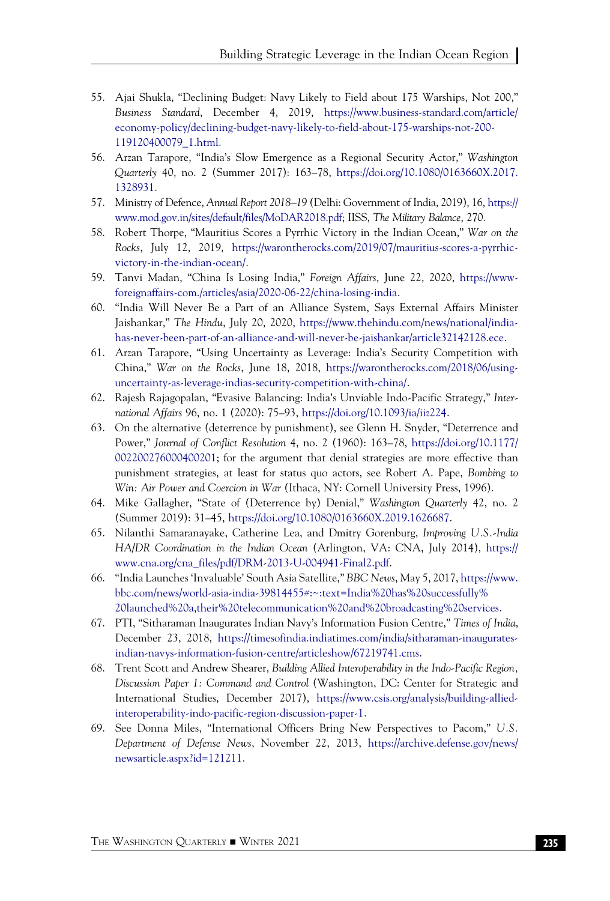- <span id="page-29-0"></span>55. Ajai Shukla, "Declining Budget: Navy Likely to Field about 175 Warships, Not 200," Business Standard, December 4, 2019, [https://www.business-standard.com/article/](https://www.business-standard.com/article/economy-policy/declining-budget-navy-likely-to-field-about-175-warships-not-200-119120400079_1.html) [economy-policy/declining-budget-navy-likely-to-field-about-175-warships-not-200-](https://www.business-standard.com/article/economy-policy/declining-budget-navy-likely-to-field-about-175-warships-not-200-119120400079_1.html) [119120400079\\_1.html.](https://www.business-standard.com/article/economy-policy/declining-budget-navy-likely-to-field-about-175-warships-not-200-119120400079_1.html)
- <span id="page-29-1"></span>56. Arzan Tarapore, "India's Slow Emergence as a Regional Security Actor," Washington Quarterly 40, no. 2 (Summer 2017): 163–78, [https://doi.org/10.1080/0163660X.2017.](https://doi.org/10.1080/0163660X.2017.1328931) [1328931.](https://doi.org/10.1080/0163660X.2017.1328931)
- <span id="page-29-2"></span>57. Ministry of Defence, Annual Report 2018–19 (Delhi: Government of India, 2019), 16, [https://](https://www.mod.gov.in/sites/default/files/MoDAR2018.pdf) [www.mod.gov.in/sites/default/files/MoDAR2018.pdf](https://www.mod.gov.in/sites/default/files/MoDAR2018.pdf); IISS, The Military Balance, 270.
- <span id="page-29-3"></span>58. Robert Thorpe, "Mauritius Scores a Pyrrhic Victory in the Indian Ocean," War on the Rocks, July 12, 2019, [https://warontherocks.com/2019/07/mauritius-scores-a-pyrrhic](https://warontherocks.com/2019/07/mauritius-scores-a-pyrrhic-victory-in-the-indian-ocean/)[victory-in-the-indian-ocean/](https://warontherocks.com/2019/07/mauritius-scores-a-pyrrhic-victory-in-the-indian-ocean/).
- <span id="page-29-4"></span>59. Tanvi Madan, "China Is Losing India," Foreign Affairs, June 22, 2020, [https://www](https://www-foreignaffairs-com./articles/asia/2020-06-22/china-losing-india)[foreignaffairs-com./articles/asia/2020-06-22/china-losing-india.](https://www-foreignaffairs-com./articles/asia/2020-06-22/china-losing-india)
- <span id="page-29-5"></span>60. "India Will Never Be a Part of an Alliance System, Says External Affairs Minister Jaishankar," The Hindu, July 20, 2020, [https://www.thehindu.com/news/national/india](https://www.thehindu.com/news/national/india-has-never-been-part-of-an-alliance-and-will-never-be-jaishankar/article32142128.ece)[has-never-been-part-of-an-alliance-and-will-never-be-jaishankar/article32142128.ece](https://www.thehindu.com/news/national/india-has-never-been-part-of-an-alliance-and-will-never-be-jaishankar/article32142128.ece).
- <span id="page-29-6"></span>61. Arzan Tarapore, "Using Uncertainty as Leverage: India's Security Competition with China," War on the Rocks, June 18, 2018, [https://warontherocks.com/2018/06/using](https://warontherocks.com/2018/06/using-uncertainty-as-leverage-indias-security-competition-with-china/)[uncertainty-as-leverage-indias-security-competition-with-china/](https://warontherocks.com/2018/06/using-uncertainty-as-leverage-indias-security-competition-with-china/).
- <span id="page-29-7"></span>62. Rajesh Rajagopalan, "Evasive Balancing: India's Unviable Indo-Pacific Strategy," International Affairs 96, no. 1 (2020): 75–93, <https://doi.org/10.1093/ia/iiz224>.
- <span id="page-29-8"></span>63. On the alternative (deterrence by punishment), see Glenn H. Snyder, "Deterrence and Power," Journal of Conflict Resolution 4, no. 2 (1960): 163–78, [https://doi.org/10.1177/](https://doi.org/10.1177/002200276000400201) [002200276000400201](https://doi.org/10.1177/002200276000400201); for the argument that denial strategies are more effective than punishment strategies, at least for status quo actors, see Robert A. Pape, Bombing to Win: Air Power and Coercion in War (Ithaca, NY: Cornell University Press, 1996).
- <span id="page-29-9"></span>64. Mike Gallagher, "State of (Deterrence by) Denial," Washington Quarterly 42, no. 2 (Summer 2019): 31–45, <https://doi.org/10.1080/0163660X.2019.1626687>.
- <span id="page-29-10"></span>65. Nilanthi Samaranayake, Catherine Lea, and Dmitry Gorenburg, Improving U.S.-India HA/DR Coordination in the Indian Ocean (Arlington, VA: CNA, July 2014), [https://](https://www.cna.org/cna_files/pdf/DRM-2013-U-004941-Final2.pdf) [www.cna.org/cna\\_files/pdf/DRM-2013-U-004941-Final2.pdf](https://www.cna.org/cna_files/pdf/DRM-2013-U-004941-Final2.pdf).
- <span id="page-29-11"></span>66. "India Launches 'Invaluable' South Asia Satellite," BBC News, May 5, 2017, [https://www.](https://www.bbc.com/news/world-asia-india-39814455#:~:text=India%20has%20successfully%20launched%20a,their%20telecommunication%20and%20broadcasting%20services) [bbc.com/news/world-asia-india-39814455#:~:text=India%20has%20successfully%](https://www.bbc.com/news/world-asia-india-39814455#:~:text=India%20has%20successfully%20launched%20a,their%20telecommunication%20and%20broadcasting%20services) [20launched%20a,their%20telecommunication%20and%20broadcasting%20services](https://www.bbc.com/news/world-asia-india-39814455#:~:text=India%20has%20successfully%20launched%20a,their%20telecommunication%20and%20broadcasting%20services).
- <span id="page-29-12"></span>67. PTI, "Sitharaman Inaugurates Indian Navy's Information Fusion Centre," Times of India, December 23, 2018, [https://timesofindia.indiatimes.com/india/sitharaman-inaugurates](https://timesofindia.indiatimes.com/india/sitharaman-inaugurates-indian-navys-information-fusion-centre/articleshow/67219741.cms)[indian-navys-information-fusion-centre/articleshow/67219741.cms](https://timesofindia.indiatimes.com/india/sitharaman-inaugurates-indian-navys-information-fusion-centre/articleshow/67219741.cms).
- <span id="page-29-13"></span>68. Trent Scott and Andrew Shearer, Building Allied Interoperability in the Indo-Pacific Region, Discussion Paper 1: Command and Control (Washington, DC: Center for Strategic and International Studies, December 2017), [https://www.csis.org/analysis/building-allied](https://www.csis.org/analysis/building-allied-interoperability-indo-pacific-region-discussion-paper-1)[interoperability-indo-pacific-region-discussion-paper-1.](https://www.csis.org/analysis/building-allied-interoperability-indo-pacific-region-discussion-paper-1)
- <span id="page-29-14"></span>69. See Donna Miles, "International Officers Bring New Perspectives to Pacom," U.S. Department of Defense News, November 22, 2013, [https://archive.defense.gov/news/](https://archive.defense.gov/news/newsarticle.aspx?id=121211) [newsarticle.aspx?id=121211.](https://archive.defense.gov/news/newsarticle.aspx?id=121211)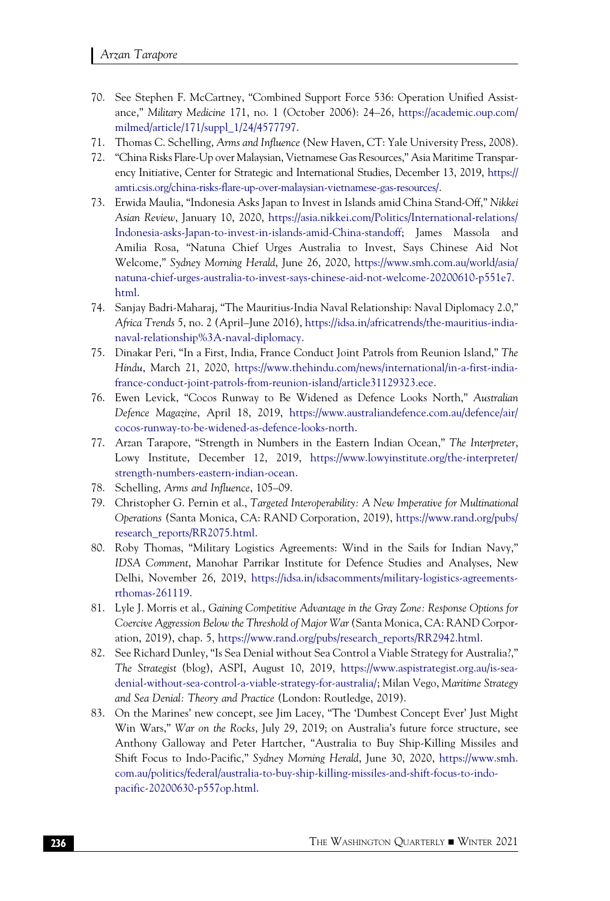- <span id="page-30-0"></span>70. See Stephen F. McCartney, "Combined Support Force 536: Operation Unified Assistance," Military Medicine 171, no. 1 (October 2006): 24–26, [https://academic.oup.com/](https://academic.oup.com/milmed/article/171/suppl_1/24/4577797) [milmed/article/171/suppl\\_1/24/4577797.](https://academic.oup.com/milmed/article/171/suppl_1/24/4577797)
- <span id="page-30-2"></span><span id="page-30-1"></span>71. Thomas C. Schelling, Arms and Influence (New Haven, CT: Yale University Press, 2008).
- 72. "China Risks Flare-Up over Malaysian, Vietnamese Gas Resources," Asia Maritime Transparency Initiative, Center for Strategic and International Studies, December 13, 2019, [https://](https://amti.csis.org/china-risks-flare-up-over-malaysian-vietnamese-gas-resources/) [amti.csis.org/china-risks-flare-up-over-malaysian-vietnamese-gas-resources/.](https://amti.csis.org/china-risks-flare-up-over-malaysian-vietnamese-gas-resources/)
- <span id="page-30-3"></span>73. Erwida Maulia, "Indonesia Asks Japan to Invest in Islands amid China Stand-Off," Nikkei Asian Review, January 10, 2020, [https://asia.nikkei.com/Politics/International-relations/](https://asia.nikkei.com/Politics/International-relations/Indonesia-asks-Japan-to-invest-in-islands-amid-China-standoff) [Indonesia-asks-Japan-to-invest-in-islands-amid-China-standoff;](https://asia.nikkei.com/Politics/International-relations/Indonesia-asks-Japan-to-invest-in-islands-amid-China-standoff) James Massola and Amilia Rosa, "Natuna Chief Urges Australia to Invest, Says Chinese Aid Not Welcome," Sydney Morning Herald, June 26, 2020, [https://www.smh.com.au/world/asia/](https://www.smh.com.au/world/asia/natuna-chief-urges-australia-to-invest-says-chinese-aid-not-welcome-20200610-p551e7.html) [natuna-chief-urges-australia-to-invest-says-chinese-aid-not-welcome-20200610-p551e7.](https://www.smh.com.au/world/asia/natuna-chief-urges-australia-to-invest-says-chinese-aid-not-welcome-20200610-p551e7.html) [html.](https://www.smh.com.au/world/asia/natuna-chief-urges-australia-to-invest-says-chinese-aid-not-welcome-20200610-p551e7.html)
- <span id="page-30-4"></span>74. Sanjay Badri-Maharaj, "The Mauritius-India Naval Relationship: Naval Diplomacy 2.0," Africa Trends 5, no. 2 (April–June 2016), [https://idsa.in/africatrends/the-mauritius-india](https://idsa.in/africatrends/the-mauritius-india-naval-relationship%3A-naval-diplomacy)[naval-relationship%3A-naval-diplomacy](https://idsa.in/africatrends/the-mauritius-india-naval-relationship%3A-naval-diplomacy).
- <span id="page-30-5"></span>75. Dinakar Peri, "In a First, India, France Conduct Joint Patrols from Reunion Island," The Hindu, March 21, 2020, [https://www.thehindu.com/news/international/in-a-first-india](https://www.thehindu.com/news/international/in-a-first-india-france-conduct-joint-patrols-from-reunion-island/article31129323.ece)[france-conduct-joint-patrols-from-reunion-island/article31129323.ece.](https://www.thehindu.com/news/international/in-a-first-india-france-conduct-joint-patrols-from-reunion-island/article31129323.ece)
- <span id="page-30-6"></span>76. Ewen Levick, "Cocos Runway to Be Widened as Defence Looks North," Australian Defence Magazine, April 18, 2019, [https://www.australiandefence.com.au/defence/air/](https://www.australiandefence.com.au/defence/air/cocos-runway-to-be-widened-as-defence-looks-north) [cocos-runway-to-be-widened-as-defence-looks-north](https://www.australiandefence.com.au/defence/air/cocos-runway-to-be-widened-as-defence-looks-north).
- <span id="page-30-7"></span>77. Arzan Tarapore, "Strength in Numbers in the Eastern Indian Ocean," The Interpreter, Lowy Institute, December 12, 2019, [https://www.lowyinstitute.org/the-interpreter/](https://www.lowyinstitute.org/the-interpreter/strength-numbers-eastern-indian-ocean) [strength-numbers-eastern-indian-ocean.](https://www.lowyinstitute.org/the-interpreter/strength-numbers-eastern-indian-ocean)
- <span id="page-30-9"></span><span id="page-30-8"></span>78. Schelling, Arms and Influence, 105–09.
- 79. Christopher G. Pernin et al., Targeted Interoperability: A New Imperative for Multinational Operations (Santa Monica, CA: RAND Corporation, 2019), [https://www.rand.org/pubs/](https://www.rand.org/pubs/research_reports/RR2075.html) [research\\_reports/RR2075.html.](https://www.rand.org/pubs/research_reports/RR2075.html)
- <span id="page-30-10"></span>80. Roby Thomas, "Military Logistics Agreements: Wind in the Sails for Indian Navy," IDSA Comment, Manohar Parrikar Institute for Defence Studies and Analyses, New Delhi, November 26, 2019, [https://idsa.in/idsacomments/military-logistics-agreements](https://idsa.in/idsacomments/military-logistics-agreements-rthomas-261119)[rthomas-261119.](https://idsa.in/idsacomments/military-logistics-agreements-rthomas-261119)
- <span id="page-30-11"></span>81. Lyle J. Morris et al., Gaining Competitive Advantage in the Gray Zone: Response Options for Coercive Aggression Below the Threshold of Major War (Santa Monica, CA: RAND Corporation, 2019), chap. 5, [https://www.rand.org/pubs/research\\_reports/RR2942.html.](https://www.rand.org/pubs/research_reports/RR2942.html)
- <span id="page-30-12"></span>82. See Richard Dunley, "Is Sea Denial without Sea Control a Viable Strategy for Australia?," The Strategist (blog), ASPI, August 10, 2019, [https://www.aspistrategist.org.au/is-sea](https://www.aspistrategist.org.au/is-sea-denial-without-sea-control-a-viable-strategy-for-australia/)[denial-without-sea-control-a-viable-strategy-for-australia/](https://www.aspistrategist.org.au/is-sea-denial-without-sea-control-a-viable-strategy-for-australia/); Milan Vego, Maritime Strategy and Sea Denial: Theory and Practice (London: Routledge, 2019).
- <span id="page-30-13"></span>83. On the Marines' new concept, see Jim Lacey, "The 'Dumbest Concept Ever' Just Might Win Wars," War on the Rocks, July 29, 2019; on Australia's future force structure, see Anthony Galloway and Peter Hartcher, "Australia to Buy Ship-Killing Missiles and Shift Focus to Indo-Pacific," Sydney Morning Herald, June 30, 2020, [https://www.smh.](https://www.smh.com.au/politics/federal/australia-to-buy-ship-killing-missiles-and-shift-focus-to-indo-pacific-20200630-p557op.html) [com.au/politics/federal/australia-to-buy-ship-killing-missiles-and-shift-focus-to-indo](https://www.smh.com.au/politics/federal/australia-to-buy-ship-killing-missiles-and-shift-focus-to-indo-pacific-20200630-p557op.html)[pacific-20200630-p557op.html.](https://www.smh.com.au/politics/federal/australia-to-buy-ship-killing-missiles-and-shift-focus-to-indo-pacific-20200630-p557op.html)